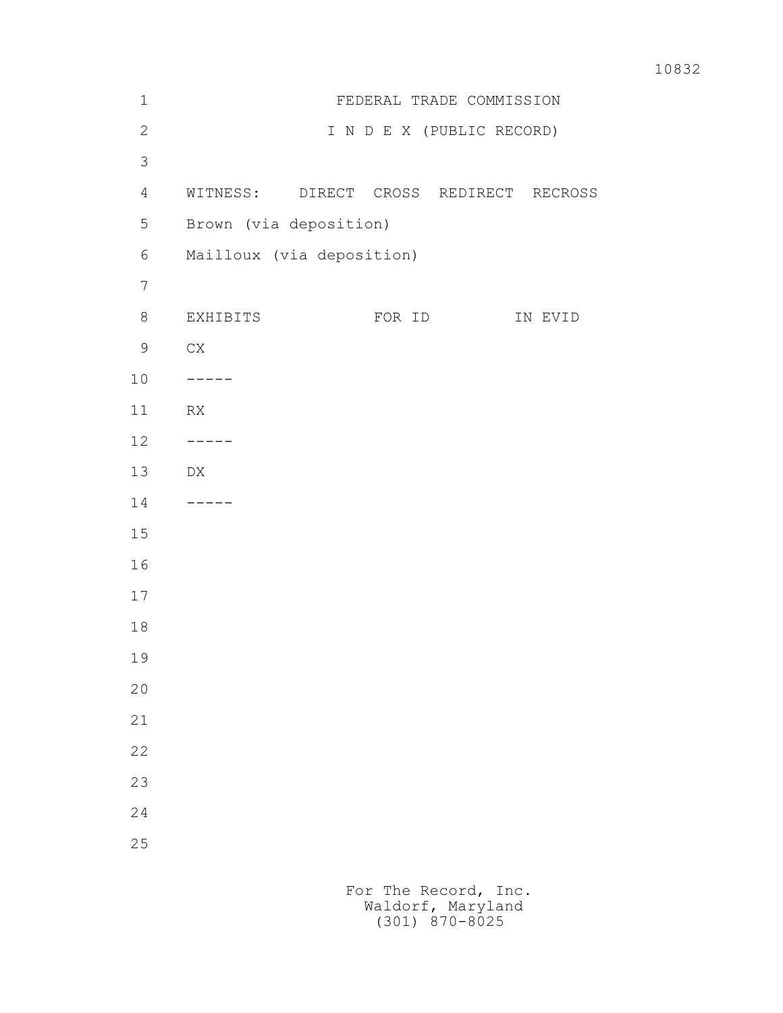| $\mathbf 1$    | FEDERAL TRADE COMMISSION               |  |  |  |  |  |
|----------------|----------------------------------------|--|--|--|--|--|
| $\mathbf{2}$   | I N D E X (PUBLIC RECORD)              |  |  |  |  |  |
| $\mathfrak{Z}$ |                                        |  |  |  |  |  |
| 4              | WITNESS: DIRECT CROSS REDIRECT RECROSS |  |  |  |  |  |
| 5              | Brown (via deposition)                 |  |  |  |  |  |
| 6              | Mailloux (via deposition)              |  |  |  |  |  |
| $\overline{7}$ |                                        |  |  |  |  |  |
| $8\,$          | EXHIBITS<br>FOR ID<br>IN EVID          |  |  |  |  |  |
| $\mathsf 9$    | ${\rm CX}$                             |  |  |  |  |  |
| 10             | $- - - - - -$                          |  |  |  |  |  |
| 11             | RX                                     |  |  |  |  |  |
| 12             | -----                                  |  |  |  |  |  |
| 13             | DX                                     |  |  |  |  |  |
| 14             | -----                                  |  |  |  |  |  |
| 15             |                                        |  |  |  |  |  |
| 16             |                                        |  |  |  |  |  |
| $17$           |                                        |  |  |  |  |  |
| $1\,8$         |                                        |  |  |  |  |  |
| 19             |                                        |  |  |  |  |  |
| 20             |                                        |  |  |  |  |  |
| 21             |                                        |  |  |  |  |  |
| 22             |                                        |  |  |  |  |  |
| 23             |                                        |  |  |  |  |  |
| 24             |                                        |  |  |  |  |  |
| 25             |                                        |  |  |  |  |  |
|                |                                        |  |  |  |  |  |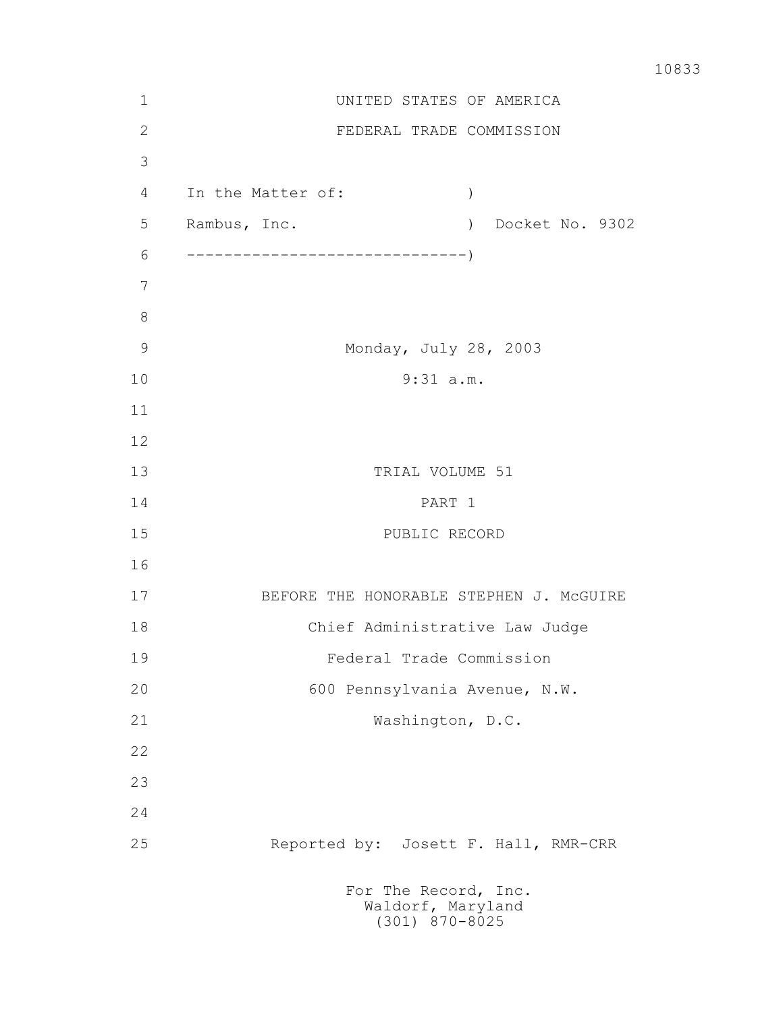| $\mathbf 1$   | UNITED STATES OF AMERICA                                      |  |  |  |  |  |  |
|---------------|---------------------------------------------------------------|--|--|--|--|--|--|
| $\mathbf{2}$  | FEDERAL TRADE COMMISSION                                      |  |  |  |  |  |  |
| 3             |                                                               |  |  |  |  |  |  |
| 4             | In the Matter of:<br>$\mathcal{L}$                            |  |  |  |  |  |  |
| 5             | Docket No. 9302<br>Rambus, Inc.<br>$\left( \right)$           |  |  |  |  |  |  |
| 6             |                                                               |  |  |  |  |  |  |
| 7             |                                                               |  |  |  |  |  |  |
| 8             |                                                               |  |  |  |  |  |  |
| $\mathcal{G}$ | Monday, July 28, 2003                                         |  |  |  |  |  |  |
| 10            | $9:31$ a.m.                                                   |  |  |  |  |  |  |
| 11            |                                                               |  |  |  |  |  |  |
| 12            |                                                               |  |  |  |  |  |  |
| 13            | TRIAL VOLUME 51                                               |  |  |  |  |  |  |
| 14            | PART 1                                                        |  |  |  |  |  |  |
| 15            | PUBLIC RECORD                                                 |  |  |  |  |  |  |
| 16            |                                                               |  |  |  |  |  |  |
| 17            | BEFORE THE HONORABLE STEPHEN J. MCGUIRE                       |  |  |  |  |  |  |
| 18            | Chief Administrative Law Judge                                |  |  |  |  |  |  |
| 19            | Federal Trade Commission                                      |  |  |  |  |  |  |
| 20            | 600 Pennsylvania Avenue, N.W.                                 |  |  |  |  |  |  |
| 21            | Washington, D.C.                                              |  |  |  |  |  |  |
| 22            |                                                               |  |  |  |  |  |  |
| 23            |                                                               |  |  |  |  |  |  |
| 24            |                                                               |  |  |  |  |  |  |
| 25            | Reported by: Josett F. Hall, RMR-CRR                          |  |  |  |  |  |  |
|               | For The Record, Inc.<br>Waldorf, Maryland<br>$(301)$ 870-8025 |  |  |  |  |  |  |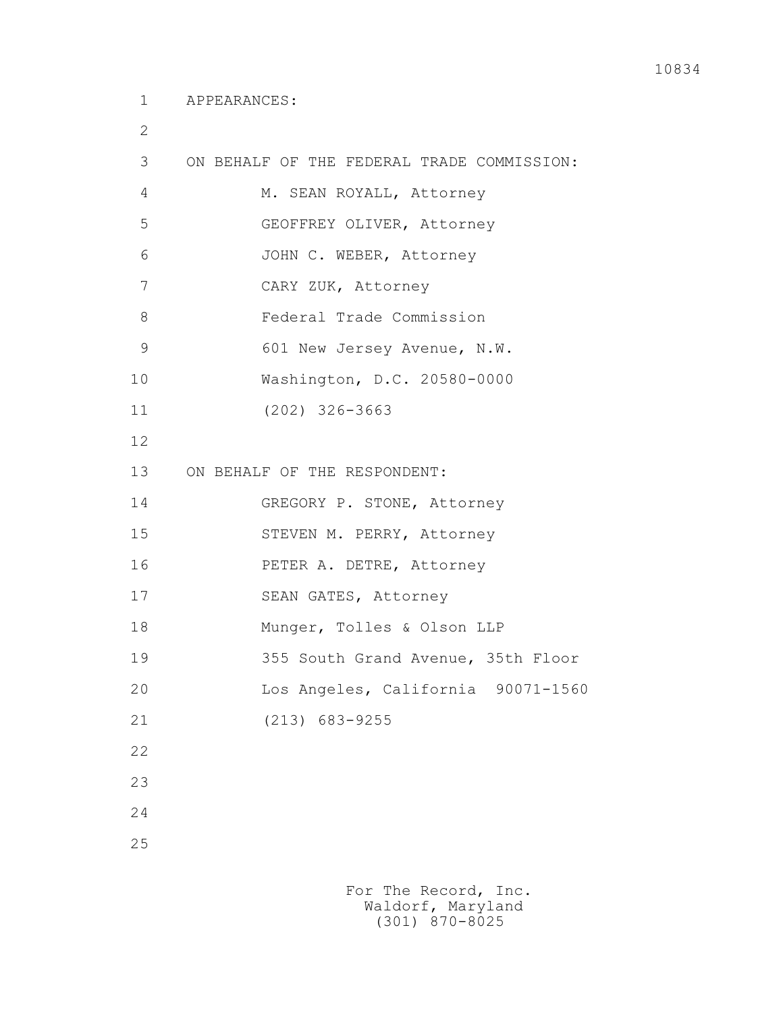2

| 3             | ON BEHALF OF THE FEDERAL TRADE COMMISSION: |
|---------------|--------------------------------------------|
| 4             | M. SEAN ROYALL, Attorney                   |
| 5             | GEOFFREY OLIVER, Attorney                  |
| 6             | JOHN C. WEBER, Attorney                    |
| 7             | CARY ZUK, Attorney                         |
| 8             | Federal Trade Commission                   |
| $\mathcal{G}$ | 601 New Jersey Avenue, N.W.                |
| 10            | Washington, D.C. 20580-0000                |
| 11            | $(202)$ 326-3663                           |
| 12            |                                            |
| 13            | ON BEHALF OF THE RESPONDENT:               |
| 14            | GREGORY P. STONE, Attorney                 |
| 15            | STEVEN M. PERRY, Attorney                  |
| 16            | PETER A. DETRE, Attorney                   |
| 17            | SEAN GATES, Attorney                       |
| 18            | Munger, Tolles & Olson LLP                 |
| 19            | 355 South Grand Avenue, 35th Floor         |
| 20            | Los Angeles, California 90071-1560         |
| 21            | $(213)$ 683-9255                           |
| 22            |                                            |
| 23            |                                            |
| 24            |                                            |
| 25            |                                            |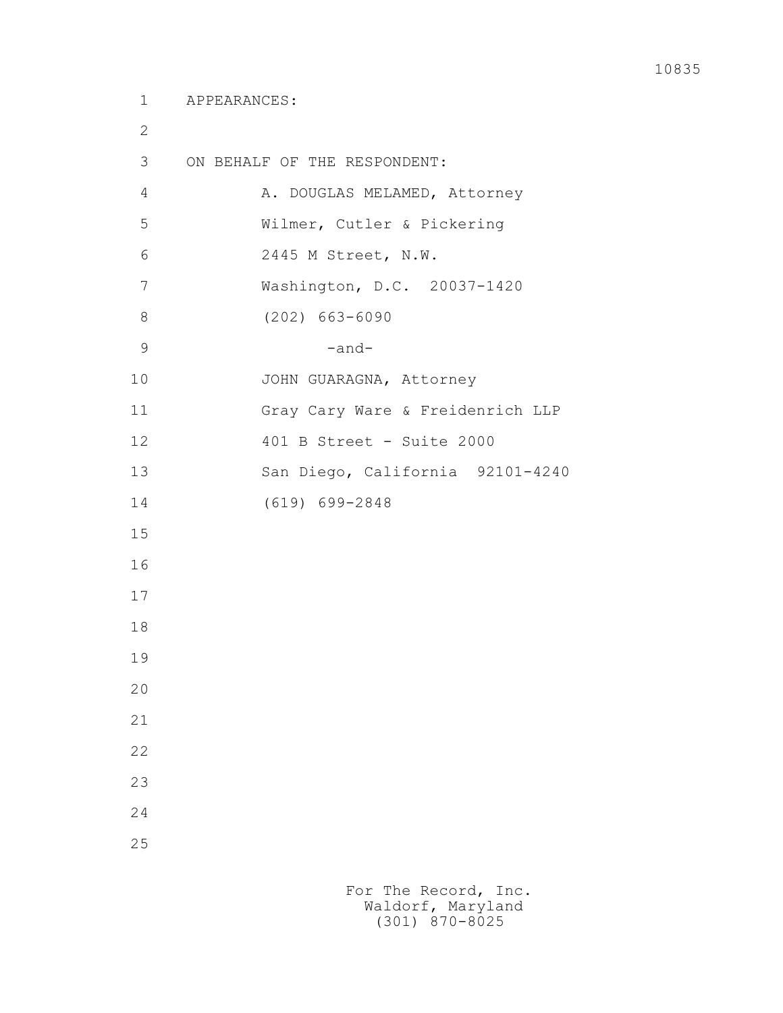2

25

 3 ON BEHALF OF THE RESPONDENT: 4 A. DOUGLAS MELAMED, Attorney

 5 Wilmer, Cutler & Pickering 6 2445 M Street, N.W. 7 Washington, D.C. 20037-1420 8 (202) 663-6090  $9$  -and-10 JOHN GUARAGNA, Attorney 11 Gray Cary Ware & Freidenrich LLP 12 401 B Street - Suite 2000 13 San Diego, California 92101-4240 14 (619) 699-2848 15 16 17 18 19 20 21 22 23 24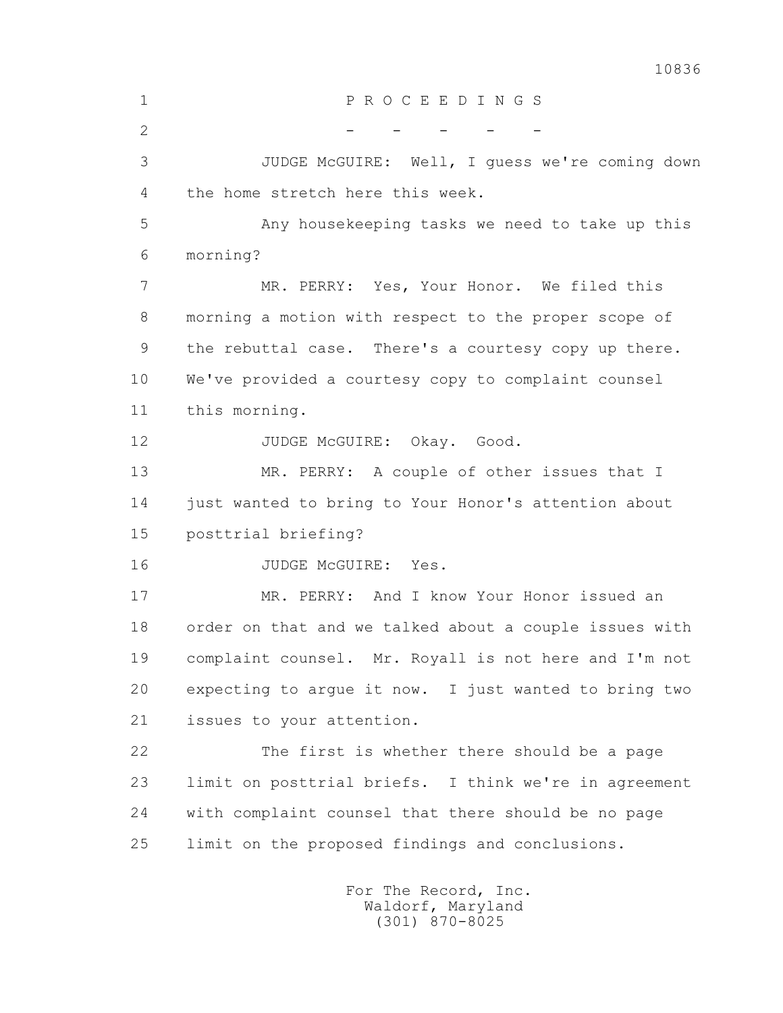10836 1 P R O C E E D I N G S  $2$  - - - - - 3 JUDGE McGUIRE: Well, I guess we're coming down 4 the home stretch here this week. 5 Any housekeeping tasks we need to take up this 6 morning? 7 MR. PERRY: Yes, Your Honor. We filed this 8 morning a motion with respect to the proper scope of 9 the rebuttal case. There's a courtesy copy up there. 10 We've provided a courtesy copy to complaint counsel 11 this morning.

12 JUDGE McGUIRE: Okay. Good. 13 MR. PERRY: A couple of other issues that I 14 just wanted to bring to Your Honor's attention about 15 posttrial briefing? 16 JUDGE McGUIRE: Yes. 17 MR. PERRY: And I know Your Honor issued an 18 order on that and we talked about a couple issues with 19 complaint counsel. Mr. Royall is not here and I'm not 20 expecting to argue it now. I just wanted to bring two 21 issues to your attention. 22 The first is whether there should be a page 23 limit on posttrial briefs. I think we're in agreement 24 with complaint counsel that there should be no page

25 limit on the proposed findings and conclusions.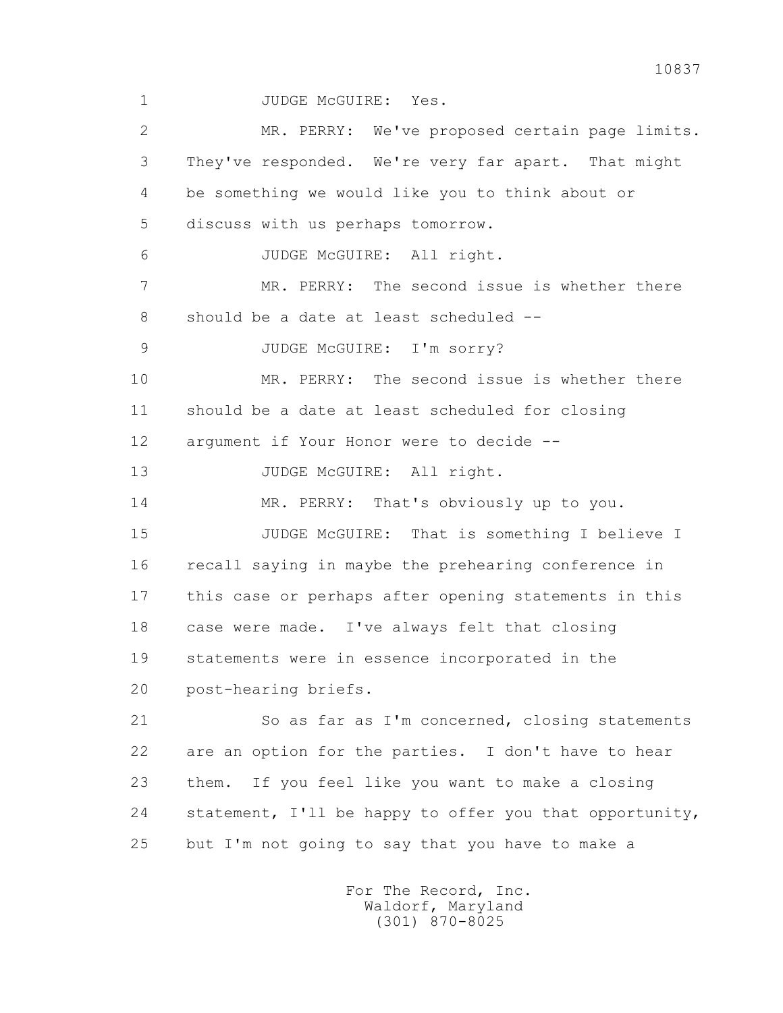1 JUDGE McGUIRE: Yes.

 2 MR. PERRY: We've proposed certain page limits. 3 They've responded. We're very far apart. That might 4 be something we would like you to think about or 5 discuss with us perhaps tomorrow. 6 JUDGE McGUIRE: All right. 7 MR. PERRY: The second issue is whether there 8 should be a date at least scheduled -- 9 JUDGE McGUIRE: I'm sorry? 10 MR. PERRY: The second issue is whether there 11 should be a date at least scheduled for closing 12 argument if Your Honor were to decide -- 13 JUDGE McGUIRE: All right. 14 MR. PERRY: That's obviously up to you. 15 JUDGE McGUIRE: That is something I believe I 16 recall saying in maybe the prehearing conference in 17 this case or perhaps after opening statements in this 18 case were made. I've always felt that closing 19 statements were in essence incorporated in the 20 post-hearing briefs. 21 So as far as I'm concerned, closing statements 22 are an option for the parties. I don't have to hear 23 them. If you feel like you want to make a closing 24 statement, I'll be happy to offer you that opportunity, 25 but I'm not going to say that you have to make a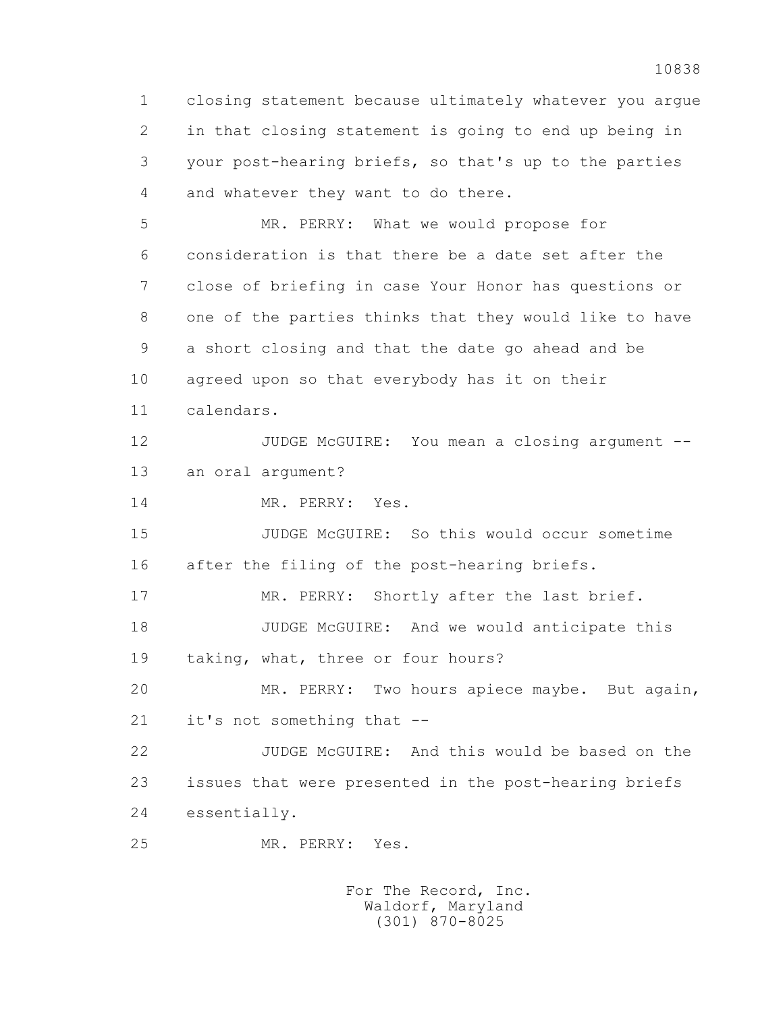1 closing statement because ultimately whatever you argue 2 in that closing statement is going to end up being in 3 your post-hearing briefs, so that's up to the parties 4 and whatever they want to do there. 5 MR. PERRY: What we would propose for 6 consideration is that there be a date set after the 7 close of briefing in case Your Honor has questions or 8 one of the parties thinks that they would like to have 9 a short closing and that the date go ahead and be 10 agreed upon so that everybody has it on their 11 calendars. 12 JUDGE McGUIRE: You mean a closing argument -- 13 an oral argument? 14 MR. PERRY: Yes. 15 JUDGE McGUIRE: So this would occur sometime 16 after the filing of the post-hearing briefs. 17 MR. PERRY: Shortly after the last brief. 18 JUDGE McGUIRE: And we would anticipate this 19 taking, what, three or four hours? 20 MR. PERRY: Two hours apiece maybe. But again, 21 it's not something that -- 22 JUDGE McGUIRE: And this would be based on the 23 issues that were presented in the post-hearing briefs 24 essentially. 25 MR. PERRY: Yes.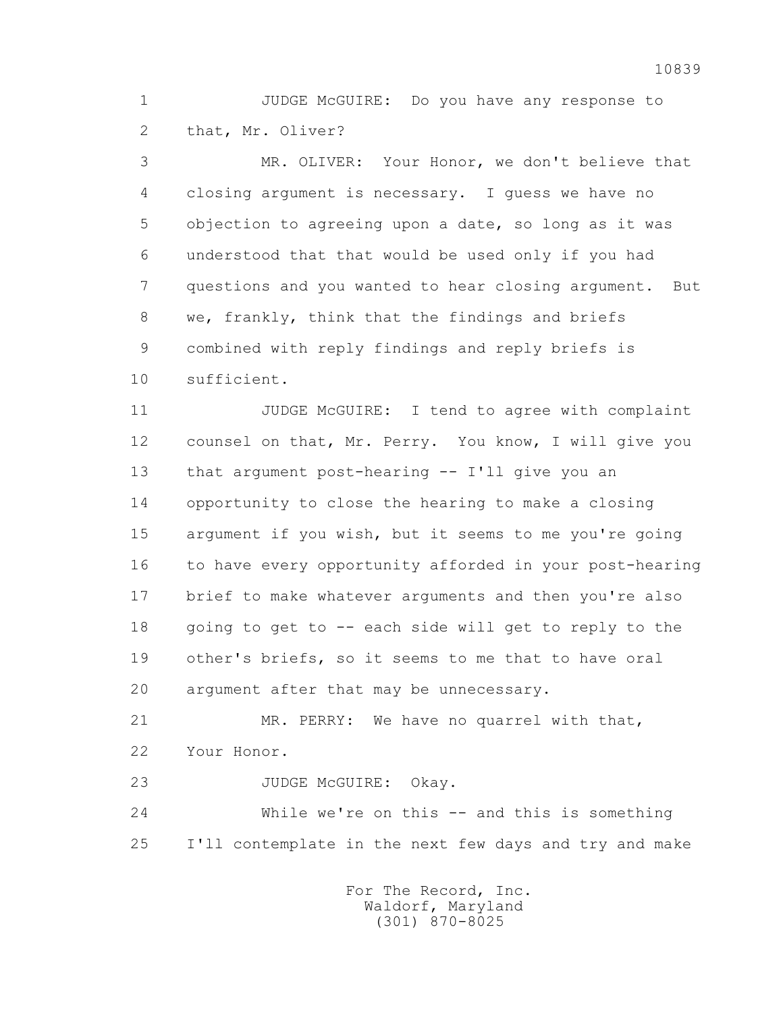1 JUDGE McGUIRE: Do you have any response to 2 that, Mr. Oliver?

 3 MR. OLIVER: Your Honor, we don't believe that 4 closing argument is necessary. I guess we have no 5 objection to agreeing upon a date, so long as it was 6 understood that that would be used only if you had 7 questions and you wanted to hear closing argument. But 8 we, frankly, think that the findings and briefs 9 combined with reply findings and reply briefs is 10 sufficient.

 11 JUDGE McGUIRE: I tend to agree with complaint 12 counsel on that, Mr. Perry. You know, I will give you 13 that argument post-hearing -- I'll give you an 14 opportunity to close the hearing to make a closing 15 argument if you wish, but it seems to me you're going 16 to have every opportunity afforded in your post-hearing 17 brief to make whatever arguments and then you're also 18 going to get to -- each side will get to reply to the 19 other's briefs, so it seems to me that to have oral 20 argument after that may be unnecessary.

 21 MR. PERRY: We have no quarrel with that, 22 Your Honor.

23 JUDGE McGUIRE: Okay.

 24 While we're on this -- and this is something 25 I'll contemplate in the next few days and try and make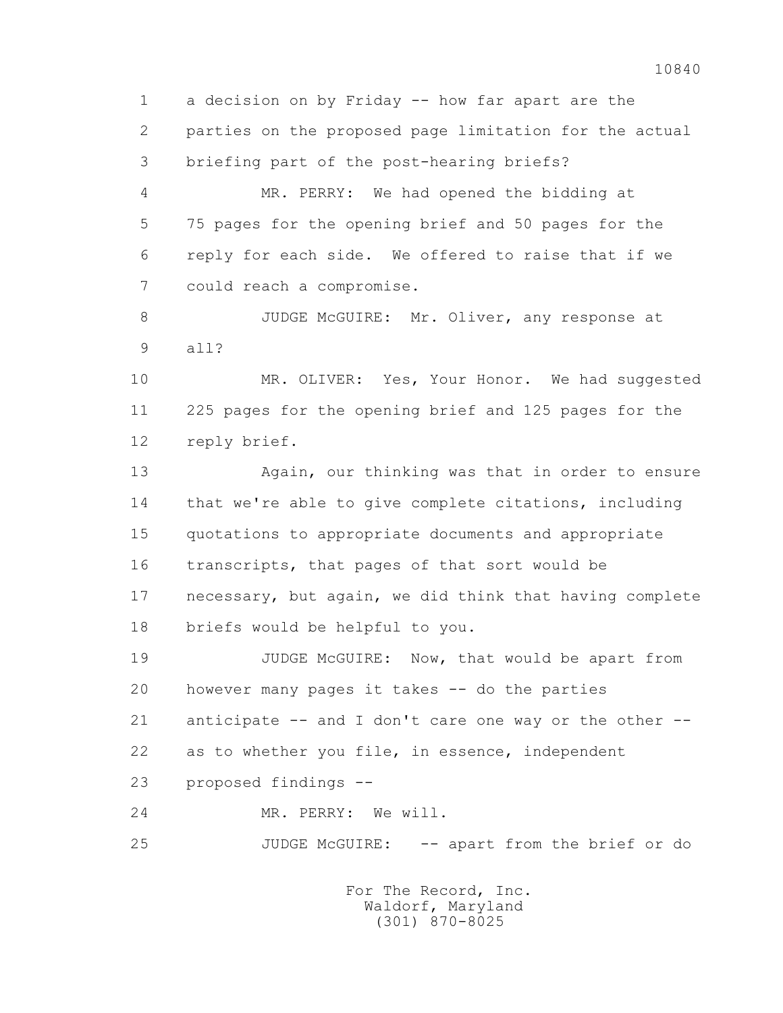1 a decision on by Friday -- how far apart are the 2 parties on the proposed page limitation for the actual 3 briefing part of the post-hearing briefs?

 4 MR. PERRY: We had opened the bidding at 5 75 pages for the opening brief and 50 pages for the 6 reply for each side. We offered to raise that if we 7 could reach a compromise.

8 JUDGE McGUIRE: Mr. Oliver, any response at 9 all?

 10 MR. OLIVER: Yes, Your Honor. We had suggested 11 225 pages for the opening brief and 125 pages for the 12 reply brief.

 13 Again, our thinking was that in order to ensure 14 that we're able to give complete citations, including 15 quotations to appropriate documents and appropriate 16 transcripts, that pages of that sort would be 17 necessary, but again, we did think that having complete 18 briefs would be helpful to you.

 19 JUDGE McGUIRE: Now, that would be apart from 20 however many pages it takes -- do the parties 21 anticipate -- and I don't care one way or the other -- 22 as to whether you file, in essence, independent 23 proposed findings --

24 MR. PERRY: We will.

25 JUDGE McGUIRE: -- apart from the brief or do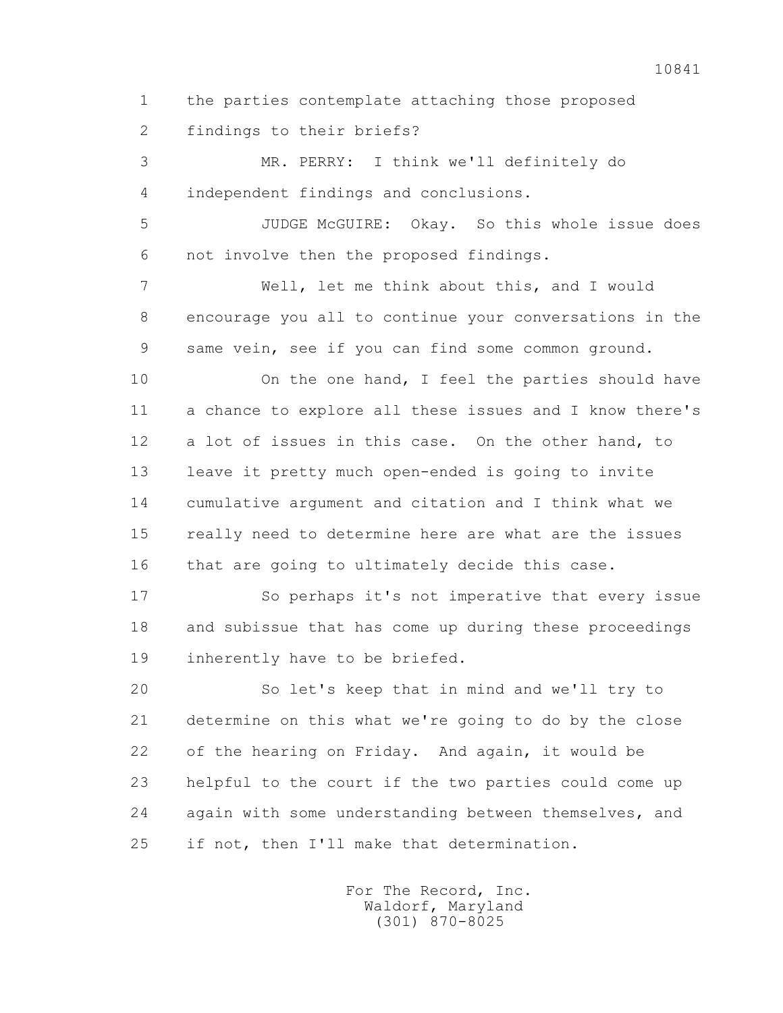1 the parties contemplate attaching those proposed

2 findings to their briefs?

 3 MR. PERRY: I think we'll definitely do 4 independent findings and conclusions.

 5 JUDGE McGUIRE: Okay. So this whole issue does 6 not involve then the proposed findings.

 7 Well, let me think about this, and I would 8 encourage you all to continue your conversations in the 9 same vein, see if you can find some common ground.

10 On the one hand, I feel the parties should have 11 a chance to explore all these issues and I know there's 12 a lot of issues in this case. On the other hand, to 13 leave it pretty much open-ended is going to invite 14 cumulative argument and citation and I think what we 15 really need to determine here are what are the issues 16 that are going to ultimately decide this case.

 17 So perhaps it's not imperative that every issue 18 and subissue that has come up during these proceedings 19 inherently have to be briefed.

 20 So let's keep that in mind and we'll try to 21 determine on this what we're going to do by the close 22 of the hearing on Friday. And again, it would be 23 helpful to the court if the two parties could come up 24 again with some understanding between themselves, and 25 if not, then I'll make that determination.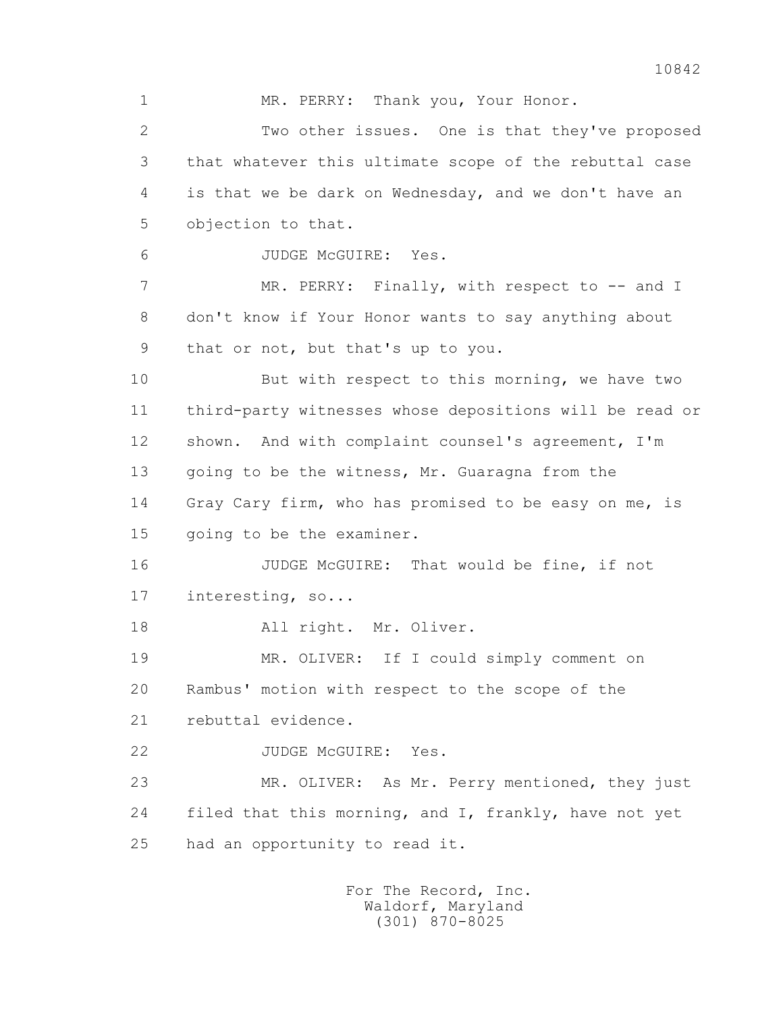1 MR. PERRY: Thank you, Your Honor. 2 Two other issues. One is that they've proposed 3 that whatever this ultimate scope of the rebuttal case 4 is that we be dark on Wednesday, and we don't have an 5 objection to that. 6 JUDGE McGUIRE: Yes. 7 MR. PERRY: Finally, with respect to -- and I 8 don't know if Your Honor wants to say anything about 9 that or not, but that's up to you. 10 But with respect to this morning, we have two 11 third-party witnesses whose depositions will be read or 12 shown. And with complaint counsel's agreement, I'm 13 going to be the witness, Mr. Guaragna from the 14 Gray Cary firm, who has promised to be easy on me, is 15 going to be the examiner. 16 JUDGE McGUIRE: That would be fine, if not 17 interesting, so... 18 All right. Mr. Oliver. 19 MR. OLIVER: If I could simply comment on 20 Rambus' motion with respect to the scope of the 21 rebuttal evidence. 22 JUDGE McGUIRE: Yes. 23 MR. OLIVER: As Mr. Perry mentioned, they just 24 filed that this morning, and I, frankly, have not yet 25 had an opportunity to read it.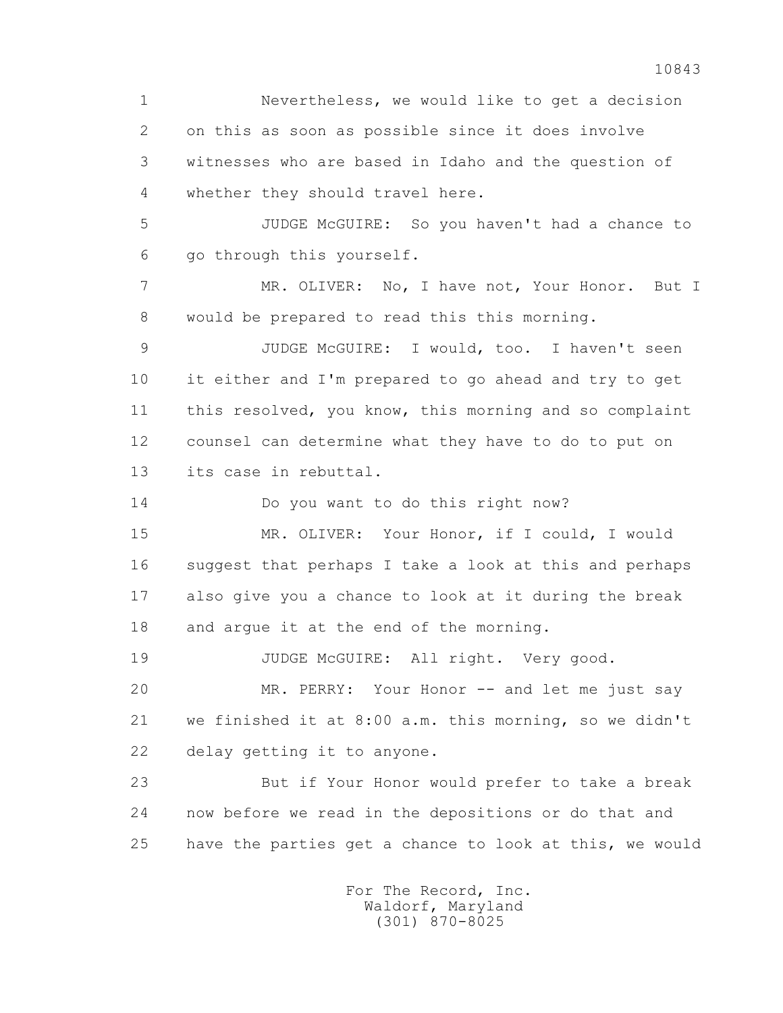1 Nevertheless, we would like to get a decision 2 on this as soon as possible since it does involve 3 witnesses who are based in Idaho and the question of 4 whether they should travel here. 5 JUDGE McGUIRE: So you haven't had a chance to 6 go through this yourself. 7 MR. OLIVER: No, I have not, Your Honor. But I 8 would be prepared to read this this morning. 9 JUDGE McGUIRE: I would, too. I haven't seen 10 it either and I'm prepared to go ahead and try to get 11 this resolved, you know, this morning and so complaint 12 counsel can determine what they have to do to put on 13 its case in rebuttal. 14 Do you want to do this right now? 15 MR. OLIVER: Your Honor, if I could, I would 16 suggest that perhaps I take a look at this and perhaps 17 also give you a chance to look at it during the break 18 and argue it at the end of the morning. 19 JUDGE McGUIRE: All right. Very good. 20 MR. PERRY: Your Honor -- and let me just say 21 we finished it at 8:00 a.m. this morning, so we didn't 22 delay getting it to anyone. 23 But if Your Honor would prefer to take a break 24 now before we read in the depositions or do that and 25 have the parties get a chance to look at this, we would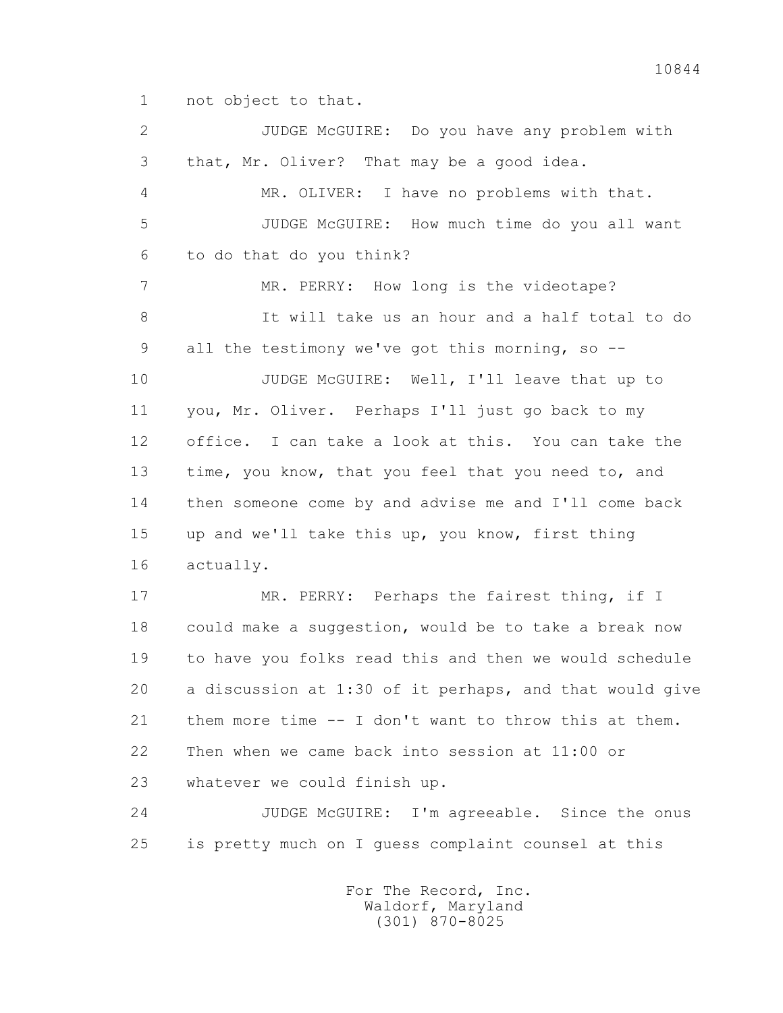1 not object to that.

 2 JUDGE McGUIRE: Do you have any problem with 3 that, Mr. Oliver? That may be a good idea. 4 MR. OLIVER: I have no problems with that. 5 JUDGE McGUIRE: How much time do you all want 6 to do that do you think? 7 MR. PERRY: How long is the videotape? 8 It will take us an hour and a half total to do 9 all the testimony we've got this morning, so -- 10 JUDGE McGUIRE: Well, I'll leave that up to 11 you, Mr. Oliver. Perhaps I'll just go back to my 12 office. I can take a look at this. You can take the 13 time, you know, that you feel that you need to, and 14 then someone come by and advise me and I'll come back 15 up and we'll take this up, you know, first thing 16 actually. 17 MR. PERRY: Perhaps the fairest thing, if I 18 could make a suggestion, would be to take a break now 19 to have you folks read this and then we would schedule 20 a discussion at 1:30 of it perhaps, and that would give 21 them more time -- I don't want to throw this at them. 22 Then when we came back into session at 11:00 or 23 whatever we could finish up. 24 JUDGE McGUIRE: I'm agreeable. Since the onus 25 is pretty much on I guess complaint counsel at this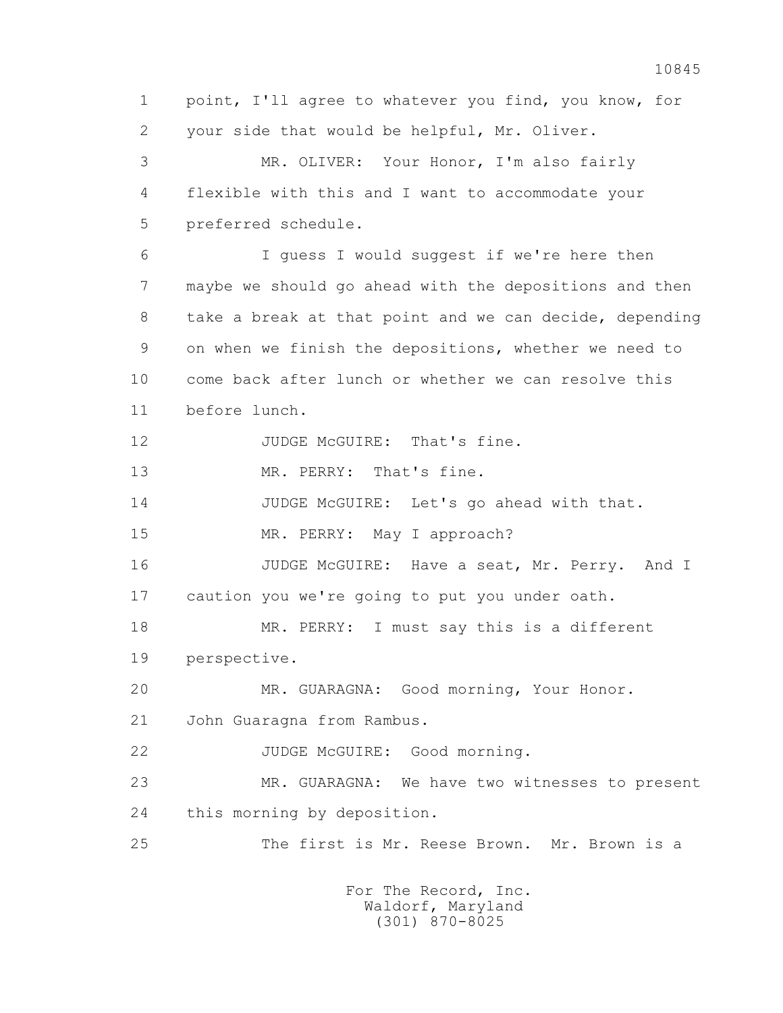1 point, I'll agree to whatever you find, you know, for 2 your side that would be helpful, Mr. Oliver. 3 MR. OLIVER: Your Honor, I'm also fairly 4 flexible with this and I want to accommodate your 5 preferred schedule. 6 I guess I would suggest if we're here then 7 maybe we should go ahead with the depositions and then 8 take a break at that point and we can decide, depending 9 on when we finish the depositions, whether we need to 10 come back after lunch or whether we can resolve this 11 before lunch. 12 JUDGE McGUIRE: That's fine. 13 MR. PERRY: That's fine. 14 JUDGE McGUIRE: Let's go ahead with that. 15 MR. PERRY: May I approach? 16 JUDGE McGUIRE: Have a seat, Mr. Perry. And I 17 caution you we're going to put you under oath. 18 MR. PERRY: I must say this is a different 19 perspective. 20 MR. GUARAGNA: Good morning, Your Honor. 21 John Guaragna from Rambus. 22 JUDGE McGUIRE: Good morning. 23 MR. GUARAGNA: We have two witnesses to present 24 this morning by deposition. 25 The first is Mr. Reese Brown. Mr. Brown is a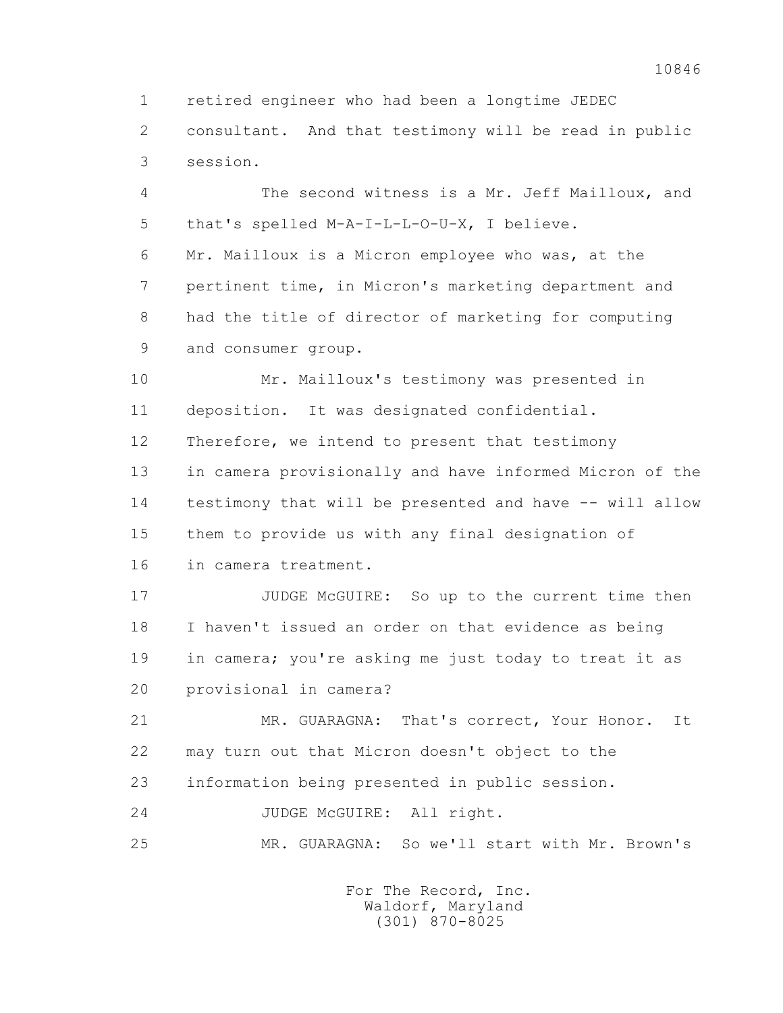1 retired engineer who had been a longtime JEDEC

 2 consultant. And that testimony will be read in public 3 session.

 4 The second witness is a Mr. Jeff Mailloux, and 5 that's spelled M-A-I-L-L-O-U-X, I believe.

 6 Mr. Mailloux is a Micron employee who was, at the 7 pertinent time, in Micron's marketing department and 8 had the title of director of marketing for computing 9 and consumer group.

 10 Mr. Mailloux's testimony was presented in 11 deposition. It was designated confidential. 12 Therefore, we intend to present that testimony 13 in camera provisionally and have informed Micron of the 14 testimony that will be presented and have -- will allow 15 them to provide us with any final designation of 16 in camera treatment.

 17 JUDGE McGUIRE: So up to the current time then 18 I haven't issued an order on that evidence as being 19 in camera; you're asking me just today to treat it as 20 provisional in camera?

 21 MR. GUARAGNA: That's correct, Your Honor. It 22 may turn out that Micron doesn't object to the 23 information being presented in public session.

24 JUDGE McGUIRE: All right.

25 MR. GUARAGNA: So we'll start with Mr. Brown's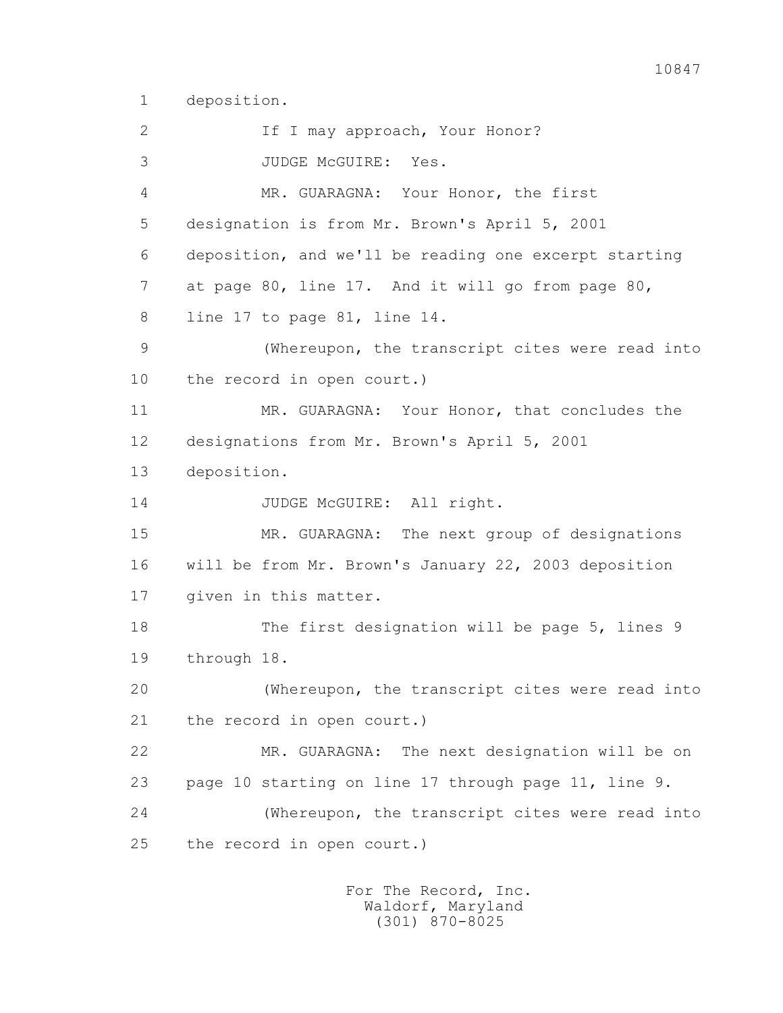1 deposition.

2 1f I may approach, Your Honor? 3 JUDGE McGUIRE: Yes. 4 MR. GUARAGNA: Your Honor, the first 5 designation is from Mr. Brown's April 5, 2001 6 deposition, and we'll be reading one excerpt starting 7 at page 80, line 17. And it will go from page 80, 8 line 17 to page 81, line 14. 9 (Whereupon, the transcript cites were read into 10 the record in open court.) 11 MR. GUARAGNA: Your Honor, that concludes the 12 designations from Mr. Brown's April 5, 2001 13 deposition. 14 JUDGE McGUIRE: All right. 15 MR. GUARAGNA: The next group of designations 16 will be from Mr. Brown's January 22, 2003 deposition 17 given in this matter. 18 The first designation will be page 5, lines 9 19 through 18. 20 (Whereupon, the transcript cites were read into 21 the record in open court.) 22 MR. GUARAGNA: The next designation will be on 23 page 10 starting on line 17 through page 11, line 9. 24 (Whereupon, the transcript cites were read into 25 the record in open court.)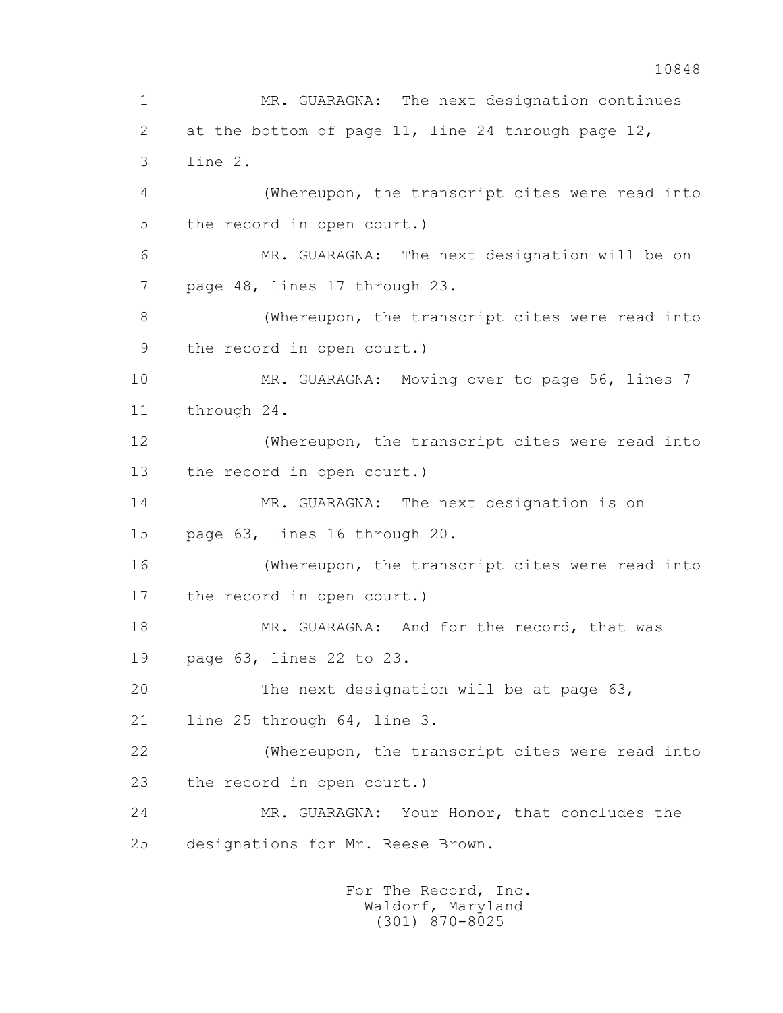1 MR. GUARAGNA: The next designation continues 2 at the bottom of page 11, line 24 through page 12, 3 line 2. 4 (Whereupon, the transcript cites were read into 5 the record in open court.) 6 MR. GUARAGNA: The next designation will be on 7 page 48, lines 17 through 23. 8 (Whereupon, the transcript cites were read into 9 the record in open court.) 10 MR. GUARAGNA: Moving over to page 56, lines 7 11 through 24. 12 (Whereupon, the transcript cites were read into 13 the record in open court.) 14 MR. GUARAGNA: The next designation is on 15 page 63, lines 16 through 20. 16 (Whereupon, the transcript cites were read into 17 the record in open court.) 18 MR. GUARAGNA: And for the record, that was 19 page 63, lines 22 to 23. 20 The next designation will be at page 63, 21 line 25 through 64, line 3. 22 (Whereupon, the transcript cites were read into 23 the record in open court.) 24 MR. GUARAGNA: Your Honor, that concludes the 25 designations for Mr. Reese Brown.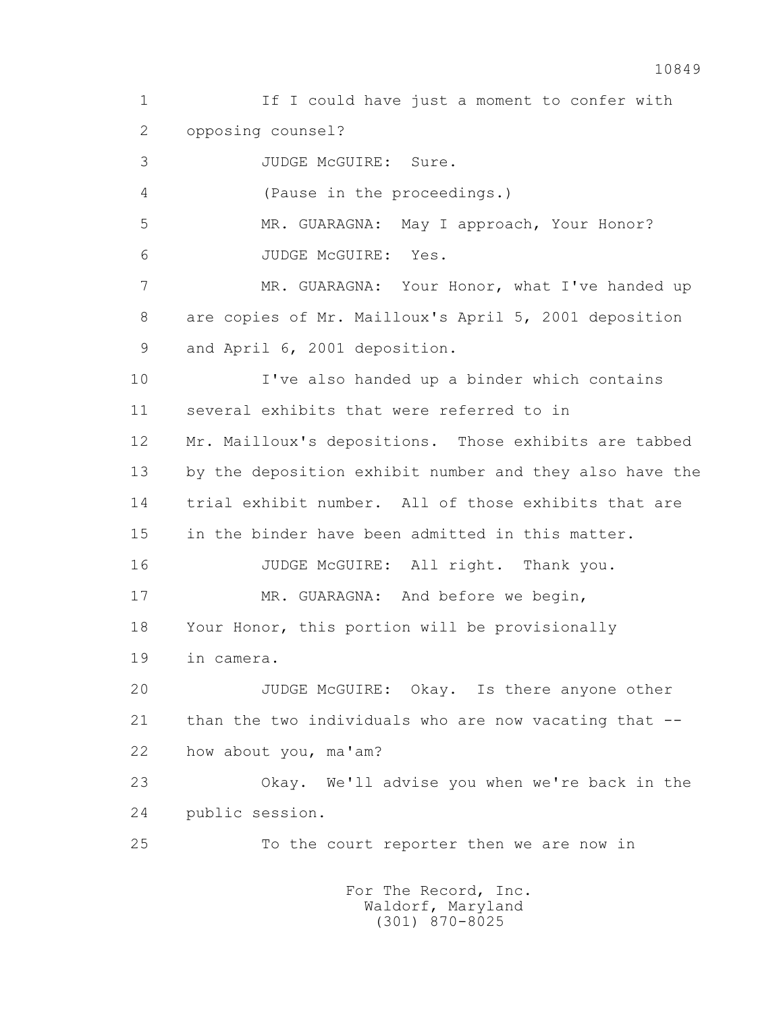1 If I could have just a moment to confer with 2 opposing counsel? 3 JUDGE McGUIRE: Sure. 4 (Pause in the proceedings.) 5 MR. GUARAGNA: May I approach, Your Honor? 6 JUDGE McGUIRE: Yes. 7 MR. GUARAGNA: Your Honor, what I've handed up 8 are copies of Mr. Mailloux's April 5, 2001 deposition 9 and April 6, 2001 deposition. 10 I've also handed up a binder which contains 11 several exhibits that were referred to in 12 Mr. Mailloux's depositions. Those exhibits are tabbed 13 by the deposition exhibit number and they also have the 14 trial exhibit number. All of those exhibits that are 15 in the binder have been admitted in this matter. 16 JUDGE McGUIRE: All right. Thank you. 17 MR. GUARAGNA: And before we begin, 18 Your Honor, this portion will be provisionally 19 in camera. 20 JUDGE McGUIRE: Okay. Is there anyone other 21 than the two individuals who are now vacating that -- 22 how about you, ma'am? 23 Okay. We'll advise you when we're back in the 24 public session. 25 To the court reporter then we are now in For The Record, Inc.

 Waldorf, Maryland (301) 870-8025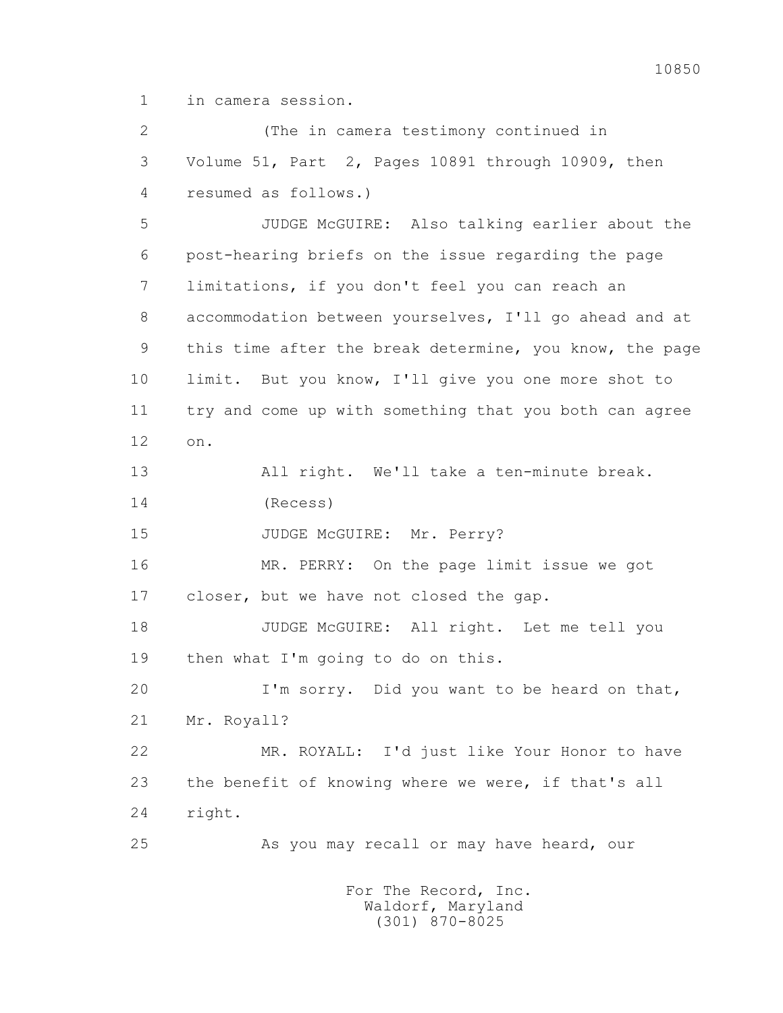1 in camera session.

 2 (The in camera testimony continued in 3 Volume 51, Part 2, Pages 10891 through 10909, then 4 resumed as follows.) 5 JUDGE McGUIRE: Also talking earlier about the 6 post-hearing briefs on the issue regarding the page 7 limitations, if you don't feel you can reach an 8 accommodation between yourselves, I'll go ahead and at 9 this time after the break determine, you know, the page 10 limit. But you know, I'll give you one more shot to 11 try and come up with something that you both can agree 12 on. 13 All right. We'll take a ten-minute break. 14 (Recess) 15 JUDGE McGUIRE: Mr. Perry? 16 MR. PERRY: On the page limit issue we got 17 closer, but we have not closed the gap. 18 JUDGE McGUIRE: All right. Let me tell you 19 then what I'm going to do on this. 20 I'm sorry. Did you want to be heard on that, 21 Mr. Royall? 22 MR. ROYALL: I'd just like Your Honor to have 23 the benefit of knowing where we were, if that's all 24 right. 25 As you may recall or may have heard, our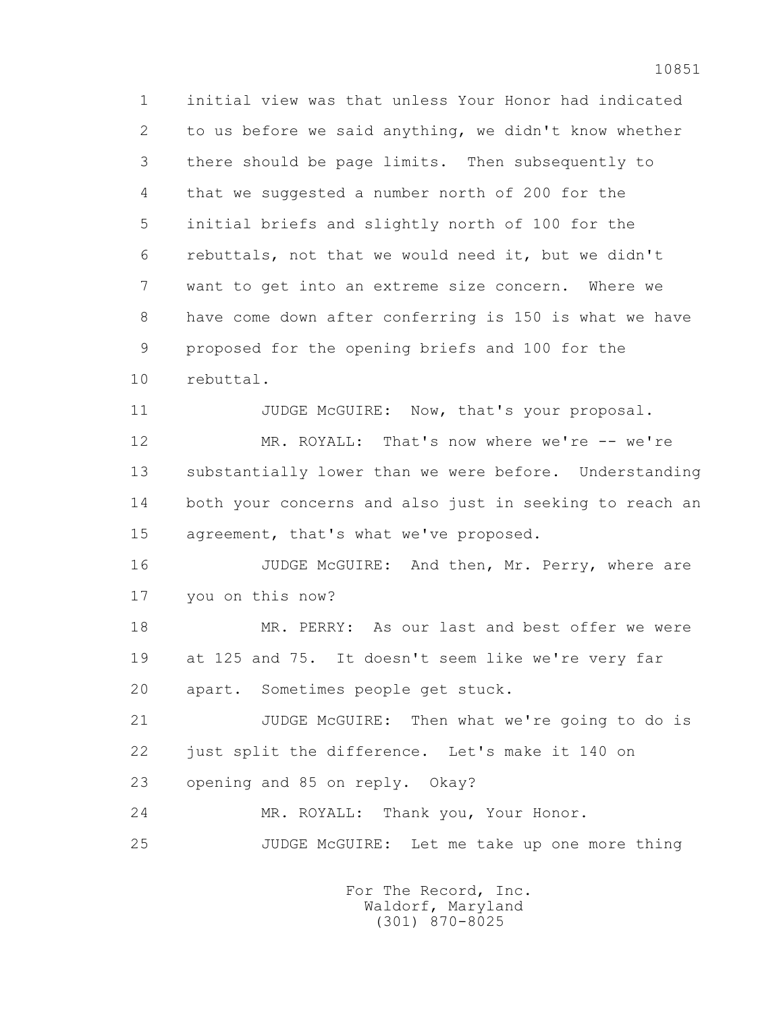1 initial view was that unless Your Honor had indicated 2 to us before we said anything, we didn't know whether 3 there should be page limits. Then subsequently to 4 that we suggested a number north of 200 for the 5 initial briefs and slightly north of 100 for the 6 rebuttals, not that we would need it, but we didn't 7 want to get into an extreme size concern. Where we 8 have come down after conferring is 150 is what we have 9 proposed for the opening briefs and 100 for the 10 rebuttal.

 12 MR. ROYALL: That's now where we're -- we're 13 substantially lower than we were before. Understanding 14 both your concerns and also just in seeking to reach an 15 agreement, that's what we've proposed.

11 JUDGE McGUIRE: Now, that's your proposal.

16 JUDGE McGUIRE: And then, Mr. Perry, where are 17 you on this now?

 18 MR. PERRY: As our last and best offer we were 19 at 125 and 75. It doesn't seem like we're very far 20 apart. Sometimes people get stuck.

 21 JUDGE McGUIRE: Then what we're going to do is 22 just split the difference. Let's make it 140 on 23 opening and 85 on reply. Okay?

24 MR. ROYALL: Thank you, Your Honor.

25 JUDGE McGUIRE: Let me take up one more thing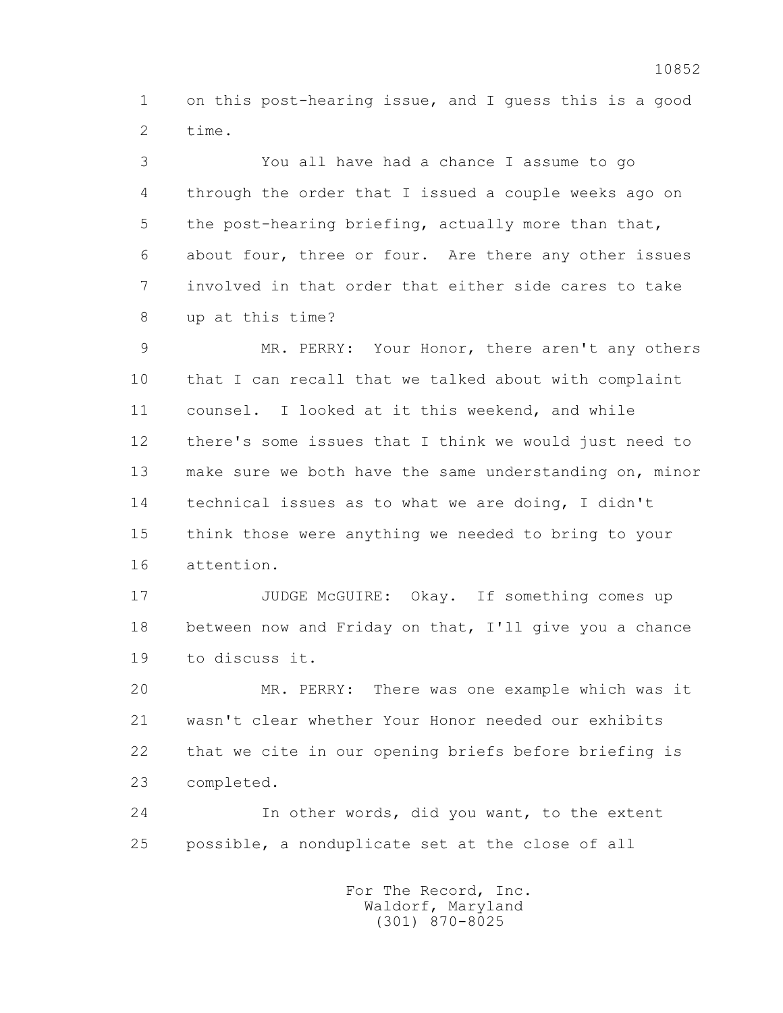1 on this post-hearing issue, and I guess this is a good 2 time.

 3 You all have had a chance I assume to go 4 through the order that I issued a couple weeks ago on 5 the post-hearing briefing, actually more than that, 6 about four, three or four. Are there any other issues 7 involved in that order that either side cares to take 8 up at this time?

 9 MR. PERRY: Your Honor, there aren't any others 10 that I can recall that we talked about with complaint 11 counsel. I looked at it this weekend, and while 12 there's some issues that I think we would just need to 13 make sure we both have the same understanding on, minor 14 technical issues as to what we are doing, I didn't 15 think those were anything we needed to bring to your 16 attention.

17 JUDGE McGUIRE: Okay. If something comes up 18 between now and Friday on that, I'll give you a chance 19 to discuss it.

 20 MR. PERRY: There was one example which was it 21 wasn't clear whether Your Honor needed our exhibits 22 that we cite in our opening briefs before briefing is 23 completed.

 24 In other words, did you want, to the extent 25 possible, a nonduplicate set at the close of all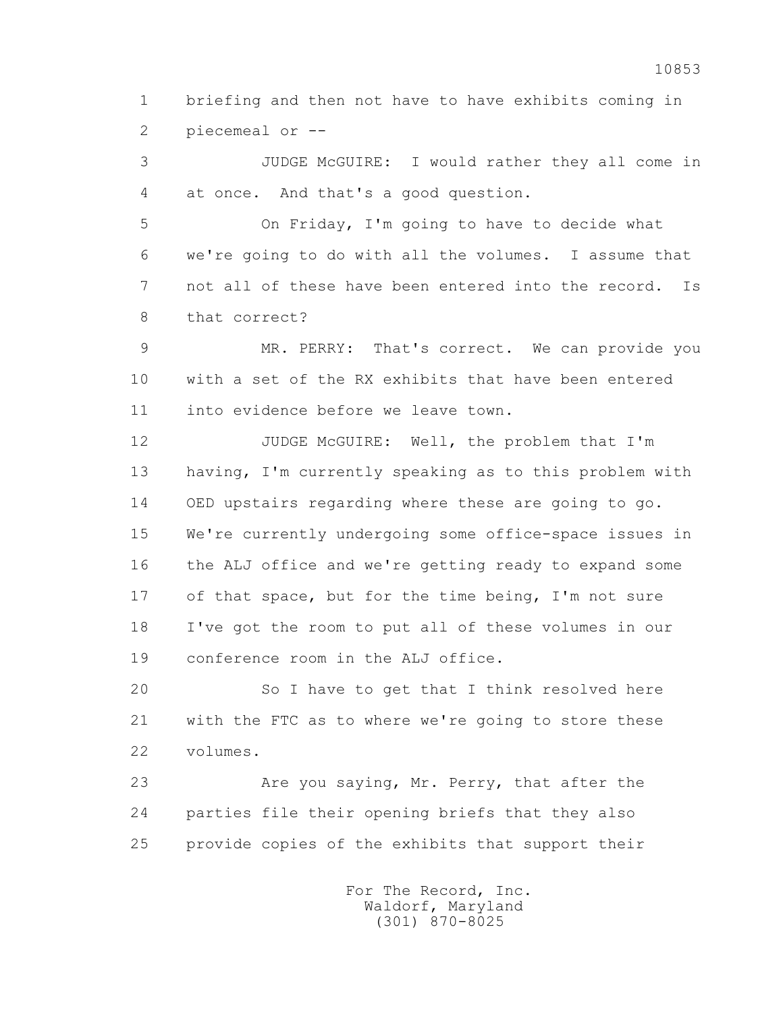1 briefing and then not have to have exhibits coming in 2 piecemeal or --

 3 JUDGE McGUIRE: I would rather they all come in 4 at once. And that's a good question.

 5 On Friday, I'm going to have to decide what 6 we're going to do with all the volumes. I assume that 7 not all of these have been entered into the record. Is 8 that correct?

 9 MR. PERRY: That's correct. We can provide you 10 with a set of the RX exhibits that have been entered 11 into evidence before we leave town.

12 JUDGE McGUIRE: Well, the problem that I'm 13 having, I'm currently speaking as to this problem with 14 OED upstairs regarding where these are going to go. 15 We're currently undergoing some office-space issues in 16 the ALJ office and we're getting ready to expand some 17 of that space, but for the time being, I'm not sure 18 I've got the room to put all of these volumes in our 19 conference room in the ALJ office.

 20 So I have to get that I think resolved here 21 with the FTC as to where we're going to store these 22 volumes.

23 Are you saying, Mr. Perry, that after the 24 parties file their opening briefs that they also 25 provide copies of the exhibits that support their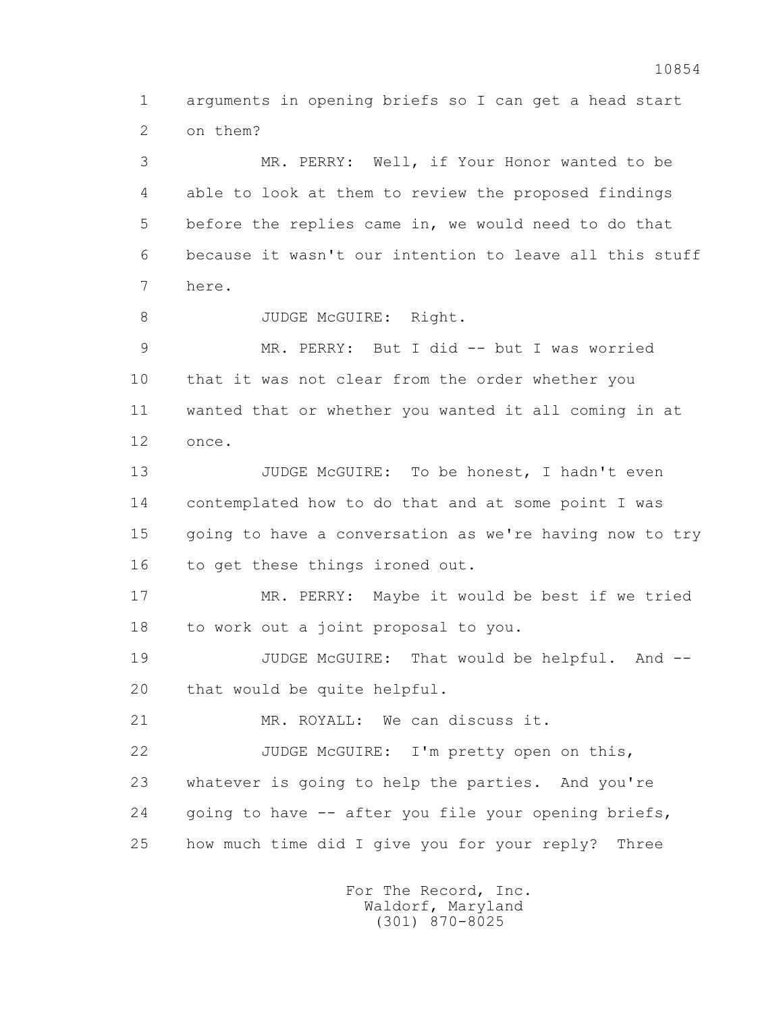1 arguments in opening briefs so I can get a head start 2 on them?

 3 MR. PERRY: Well, if Your Honor wanted to be 4 able to look at them to review the proposed findings 5 before the replies came in, we would need to do that 6 because it wasn't our intention to leave all this stuff 7 here. 8 JUDGE McGUIRE: Right. 9 MR. PERRY: But I did -- but I was worried 10 that it was not clear from the order whether you 11 wanted that or whether you wanted it all coming in at 12 once. 13 JUDGE McGUIRE: To be honest, I hadn't even 14 contemplated how to do that and at some point I was 15 going to have a conversation as we're having now to try 16 to get these things ironed out. 17 MR. PERRY: Maybe it would be best if we tried 18 to work out a joint proposal to you. 19 JUDGE McGUIRE: That would be helpful. And -- 20 that would be quite helpful. 21 MR. ROYALL: We can discuss it. 22 JUDGE McGUIRE: I'm pretty open on this, 23 whatever is going to help the parties. And you're 24 going to have -- after you file your opening briefs, 25 how much time did I give you for your reply? Three

> For The Record, Inc. Waldorf, Maryland (301) 870-8025

10854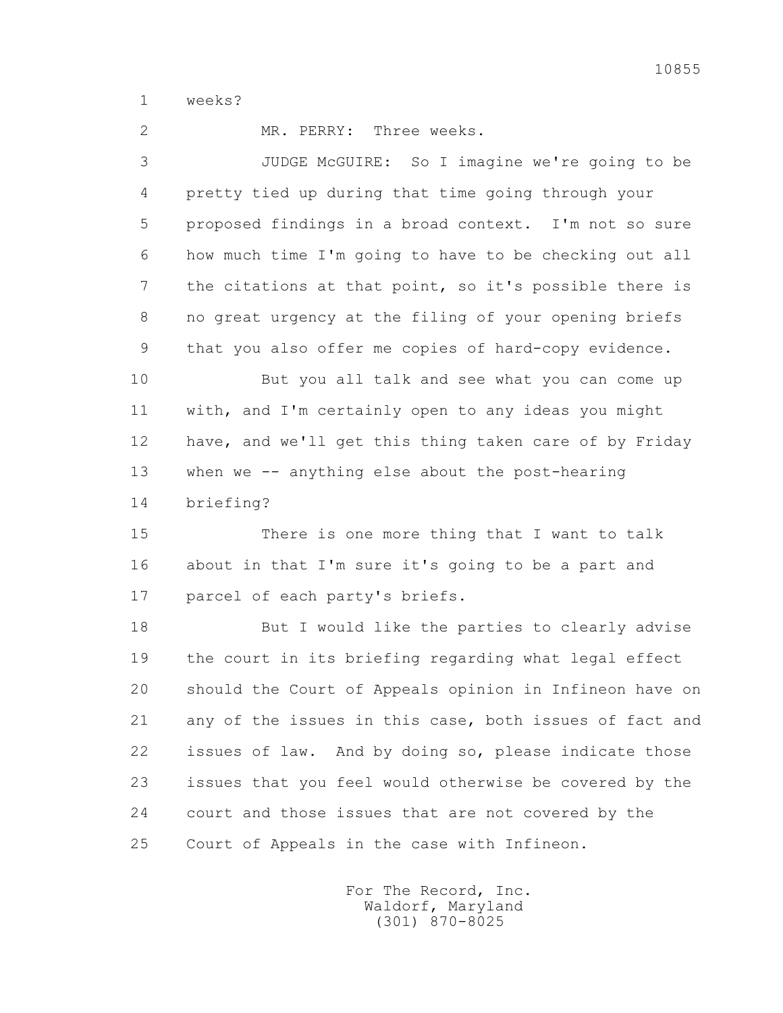1 weeks?

2 MR. PERRY: Three weeks.

 3 JUDGE McGUIRE: So I imagine we're going to be 4 pretty tied up during that time going through your 5 proposed findings in a broad context. I'm not so sure 6 how much time I'm going to have to be checking out all 7 the citations at that point, so it's possible there is 8 no great urgency at the filing of your opening briefs 9 that you also offer me copies of hard-copy evidence.

 10 But you all talk and see what you can come up 11 with, and I'm certainly open to any ideas you might 12 have, and we'll get this thing taken care of by Friday 13 when we -- anything else about the post-hearing 14 briefing?

 15 There is one more thing that I want to talk 16 about in that I'm sure it's going to be a part and 17 parcel of each party's briefs.

 18 But I would like the parties to clearly advise 19 the court in its briefing regarding what legal effect 20 should the Court of Appeals opinion in Infineon have on 21 any of the issues in this case, both issues of fact and 22 issues of law. And by doing so, please indicate those 23 issues that you feel would otherwise be covered by the 24 court and those issues that are not covered by the 25 Court of Appeals in the case with Infineon.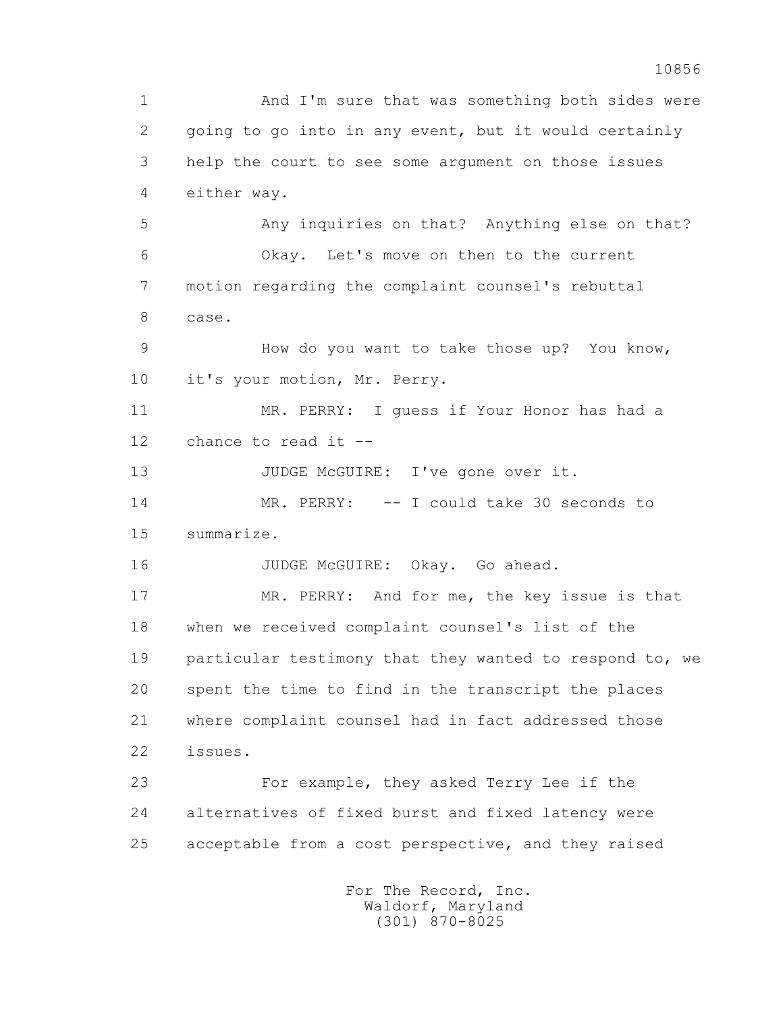1 And I'm sure that was something both sides were 2 going to go into in any event, but it would certainly 3 help the court to see some argument on those issues 4 either way. 5 Any inquiries on that? Anything else on that? 6 Okay. Let's move on then to the current 7 motion regarding the complaint counsel's rebuttal 8 case. 9 How do you want to take those up? You know, 10 it's your motion, Mr. Perry. 11 MR. PERRY: I guess if Your Honor has had a 12 chance to read it -- 13 JUDGE McGUIRE: I've gone over it. 14 MR. PERRY: -- I could take 30 seconds to 15 summarize. 16 JUDGE McGUIRE: Okay. Go ahead. 17 MR. PERRY: And for me, the key issue is that 18 when we received complaint counsel's list of the 19 particular testimony that they wanted to respond to, we 20 spent the time to find in the transcript the places 21 where complaint counsel had in fact addressed those 22 issues. 23 For example, they asked Terry Lee if the 24 alternatives of fixed burst and fixed latency were 25 acceptable from a cost perspective, and they raised For The Record, Inc. Waldorf, Maryland

(301) 870-8025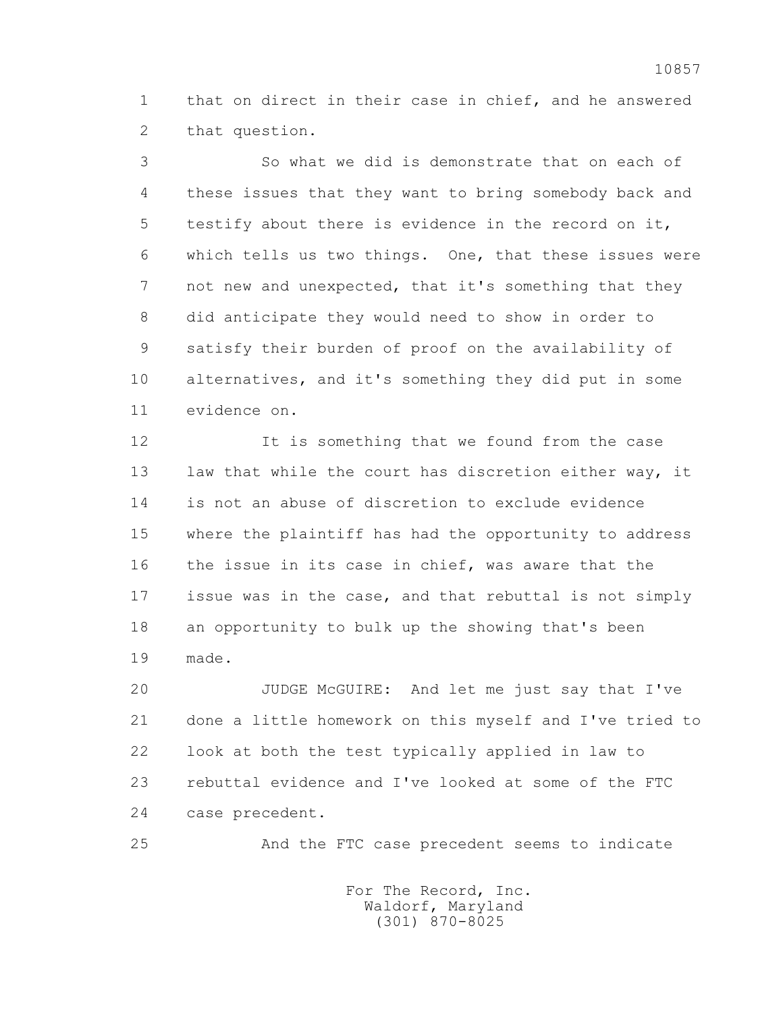1 that on direct in their case in chief, and he answered 2 that question.

 3 So what we did is demonstrate that on each of 4 these issues that they want to bring somebody back and 5 testify about there is evidence in the record on it, 6 which tells us two things. One, that these issues were 7 not new and unexpected, that it's something that they 8 did anticipate they would need to show in order to 9 satisfy their burden of proof on the availability of 10 alternatives, and it's something they did put in some 11 evidence on.

12 12 It is something that we found from the case 13 law that while the court has discretion either way, it 14 is not an abuse of discretion to exclude evidence 15 where the plaintiff has had the opportunity to address 16 the issue in its case in chief, was aware that the 17 issue was in the case, and that rebuttal is not simply 18 an opportunity to bulk up the showing that's been 19 made.

 20 JUDGE McGUIRE: And let me just say that I've 21 done a little homework on this myself and I've tried to 22 look at both the test typically applied in law to 23 rebuttal evidence and I've looked at some of the FTC 24 case precedent.

25 And the FTC case precedent seems to indicate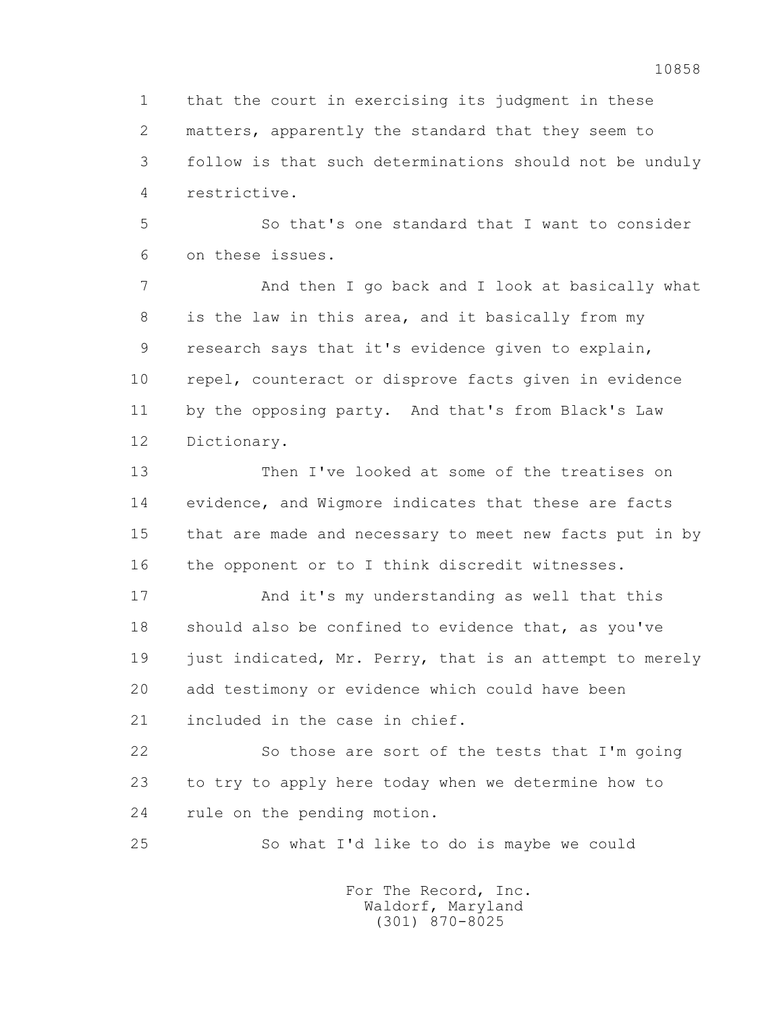1 that the court in exercising its judgment in these 2 matters, apparently the standard that they seem to 3 follow is that such determinations should not be unduly 4 restrictive.

 5 So that's one standard that I want to consider 6 on these issues.

 7 And then I go back and I look at basically what 8 is the law in this area, and it basically from my 9 research says that it's evidence given to explain, 10 repel, counteract or disprove facts given in evidence 11 by the opposing party. And that's from Black's Law 12 Dictionary.

 13 Then I've looked at some of the treatises on 14 evidence, and Wigmore indicates that these are facts 15 that are made and necessary to meet new facts put in by 16 the opponent or to I think discredit witnesses.

 17 And it's my understanding as well that this 18 should also be confined to evidence that, as you've 19 just indicated, Mr. Perry, that is an attempt to merely 20 add testimony or evidence which could have been 21 included in the case in chief.

 22 So those are sort of the tests that I'm going 23 to try to apply here today when we determine how to 24 rule on the pending motion.

25 So what I'd like to do is maybe we could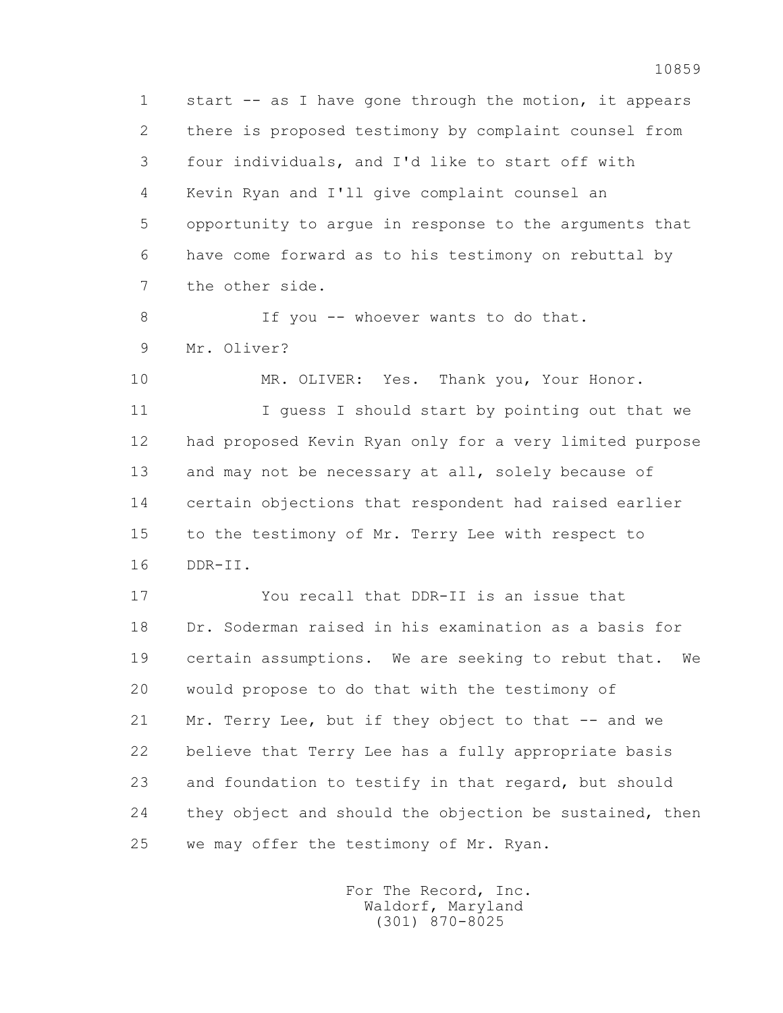1 start -- as I have gone through the motion, it appears 2 there is proposed testimony by complaint counsel from 3 four individuals, and I'd like to start off with 4 Kevin Ryan and I'll give complaint counsel an 5 opportunity to argue in response to the arguments that 6 have come forward as to his testimony on rebuttal by 7 the other side.

8 If you -- whoever wants to do that. 9 Mr. Oliver?

10 MR. OLIVER: Yes. Thank you, Your Honor. 11 I guess I should start by pointing out that we 12 had proposed Kevin Ryan only for a very limited purpose 13 and may not be necessary at all, solely because of 14 certain objections that respondent had raised earlier 15 to the testimony of Mr. Terry Lee with respect to 16 DDR-II.

 17 You recall that DDR-II is an issue that 18 Dr. Soderman raised in his examination as a basis for 19 certain assumptions. We are seeking to rebut that. We 20 would propose to do that with the testimony of 21 Mr. Terry Lee, but if they object to that -- and we 22 believe that Terry Lee has a fully appropriate basis 23 and foundation to testify in that regard, but should 24 they object and should the objection be sustained, then 25 we may offer the testimony of Mr. Ryan.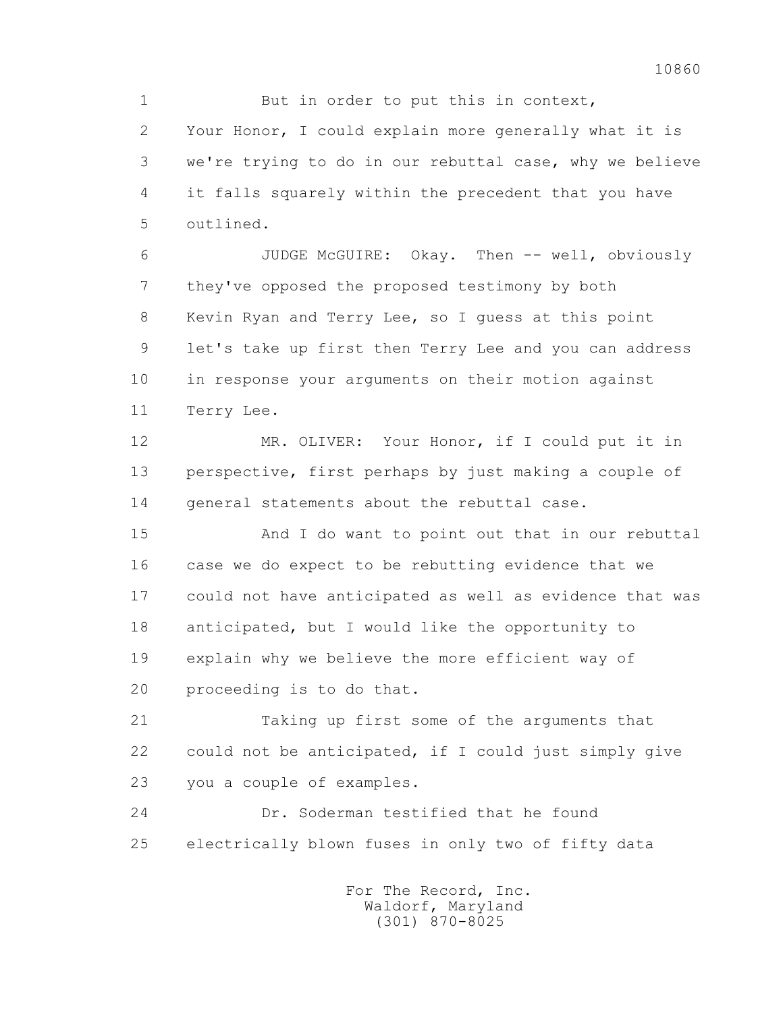1 But in order to put this in context, 2 Your Honor, I could explain more generally what it is 3 we're trying to do in our rebuttal case, why we believe 4 it falls squarely within the precedent that you have 5 outlined.

 6 JUDGE McGUIRE: Okay. Then -- well, obviously 7 they've opposed the proposed testimony by both 8 Kevin Ryan and Terry Lee, so I guess at this point 9 let's take up first then Terry Lee and you can address 10 in response your arguments on their motion against 11 Terry Lee.

 12 MR. OLIVER: Your Honor, if I could put it in 13 perspective, first perhaps by just making a couple of 14 general statements about the rebuttal case.

 15 And I do want to point out that in our rebuttal 16 case we do expect to be rebutting evidence that we 17 could not have anticipated as well as evidence that was 18 anticipated, but I would like the opportunity to 19 explain why we believe the more efficient way of 20 proceeding is to do that.

 21 Taking up first some of the arguments that 22 could not be anticipated, if I could just simply give 23 you a couple of examples.

 24 Dr. Soderman testified that he found 25 electrically blown fuses in only two of fifty data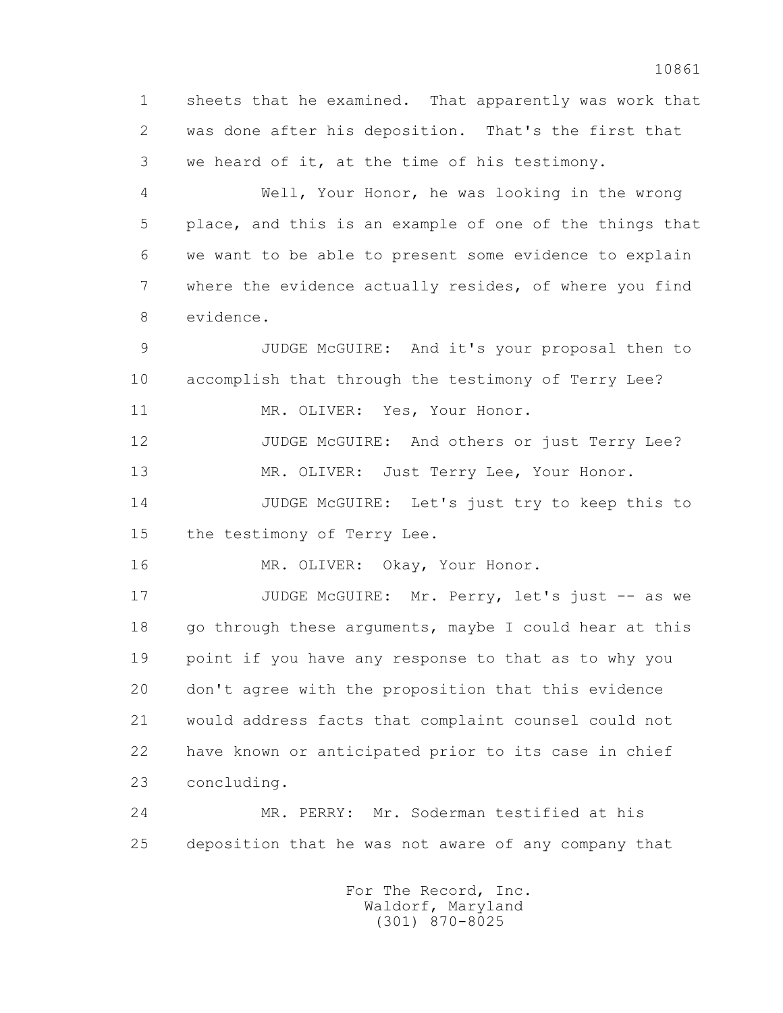1 sheets that he examined. That apparently was work that 2 was done after his deposition. That's the first that 3 we heard of it, at the time of his testimony.

 4 Well, Your Honor, he was looking in the wrong 5 place, and this is an example of one of the things that 6 we want to be able to present some evidence to explain 7 where the evidence actually resides, of where you find 8 evidence.

 9 JUDGE McGUIRE: And it's your proposal then to 10 accomplish that through the testimony of Terry Lee? 11 MR. OLIVER: Yes, Your Honor.

 12 JUDGE McGUIRE: And others or just Terry Lee? 13 MR. OLIVER: Just Terry Lee, Your Honor.

14 JUDGE McGUIRE: Let's just try to keep this to

15 the testimony of Terry Lee.

16 MR. OLIVER: Okay, Your Honor.

 17 JUDGE McGUIRE: Mr. Perry, let's just -- as we 18 go through these arguments, maybe I could hear at this 19 point if you have any response to that as to why you 20 don't agree with the proposition that this evidence 21 would address facts that complaint counsel could not 22 have known or anticipated prior to its case in chief 23 concluding.

 24 MR. PERRY: Mr. Soderman testified at his 25 deposition that he was not aware of any company that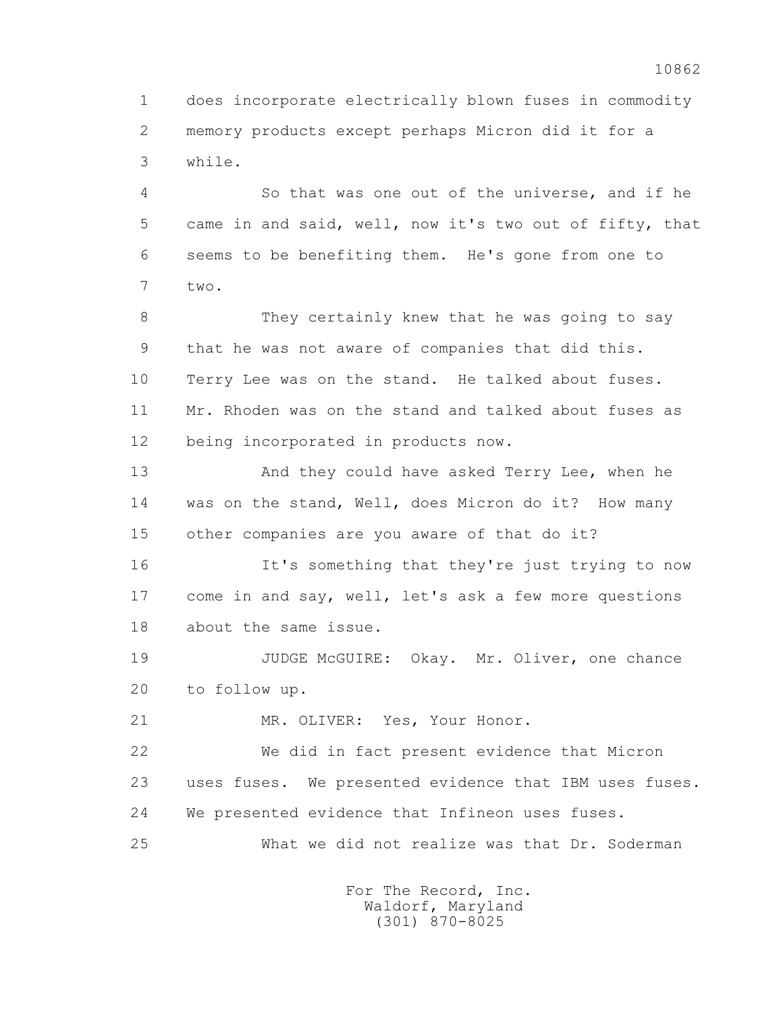1 does incorporate electrically blown fuses in commodity 2 memory products except perhaps Micron did it for a 3 while.

 4 So that was one out of the universe, and if he 5 came in and said, well, now it's two out of fifty, that 6 seems to be benefiting them. He's gone from one to 7 two.

 8 They certainly knew that he was going to say 9 that he was not aware of companies that did this. 10 Terry Lee was on the stand. He talked about fuses. 11 Mr. Rhoden was on the stand and talked about fuses as 12 being incorporated in products now.

 13 And they could have asked Terry Lee, when he 14 was on the stand, Well, does Micron do it? How many 15 other companies are you aware of that do it?

 16 It's something that they're just trying to now 17 come in and say, well, let's ask a few more questions 18 about the same issue.

 19 JUDGE McGUIRE: Okay. Mr. Oliver, one chance 20 to follow up.

21 MR. OLIVER: Yes, Your Honor.

 22 We did in fact present evidence that Micron 23 uses fuses. We presented evidence that IBM uses fuses. 24 We presented evidence that Infineon uses fuses. 25 What we did not realize was that Dr. Soderman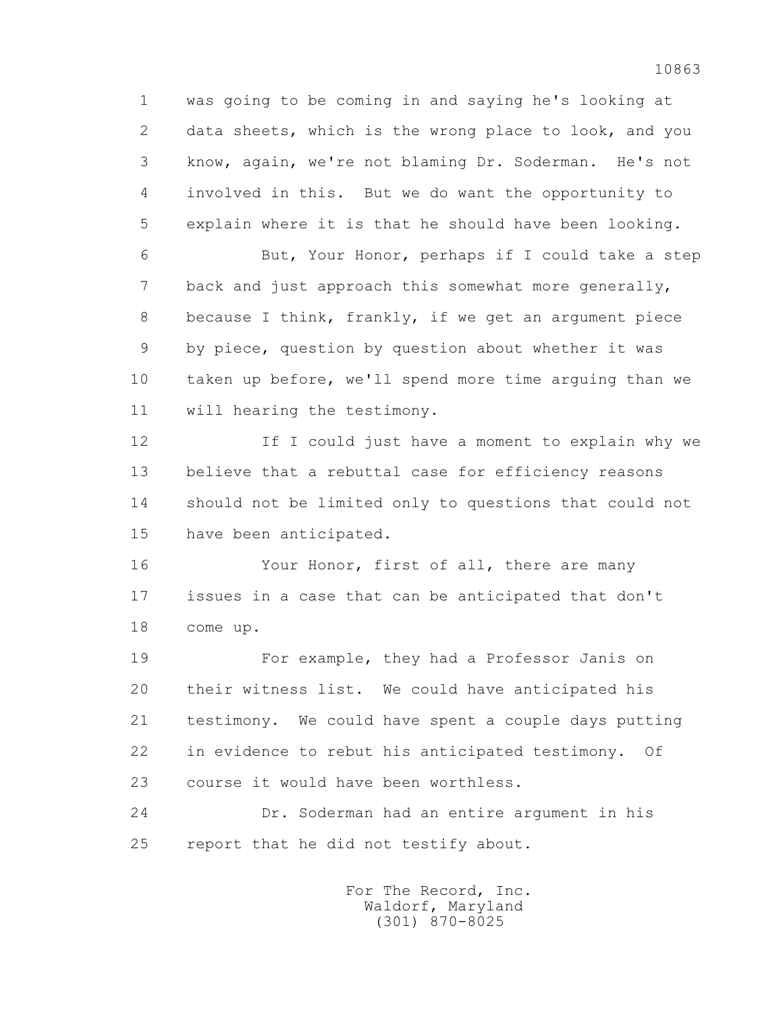1 was going to be coming in and saying he's looking at 2 data sheets, which is the wrong place to look, and you 3 know, again, we're not blaming Dr. Soderman. He's not 4 involved in this. But we do want the opportunity to 5 explain where it is that he should have been looking.

 6 But, Your Honor, perhaps if I could take a step 7 back and just approach this somewhat more generally, 8 because I think, frankly, if we get an argument piece 9 by piece, question by question about whether it was 10 taken up before, we'll spend more time arguing than we 11 will hearing the testimony.

 12 If I could just have a moment to explain why we 13 believe that a rebuttal case for efficiency reasons 14 should not be limited only to questions that could not 15 have been anticipated.

16 Your Honor, first of all, there are many 17 issues in a case that can be anticipated that don't 18 come up.

 19 For example, they had a Professor Janis on 20 their witness list. We could have anticipated his 21 testimony. We could have spent a couple days putting 22 in evidence to rebut his anticipated testimony. Of 23 course it would have been worthless.

 24 Dr. Soderman had an entire argument in his 25 report that he did not testify about.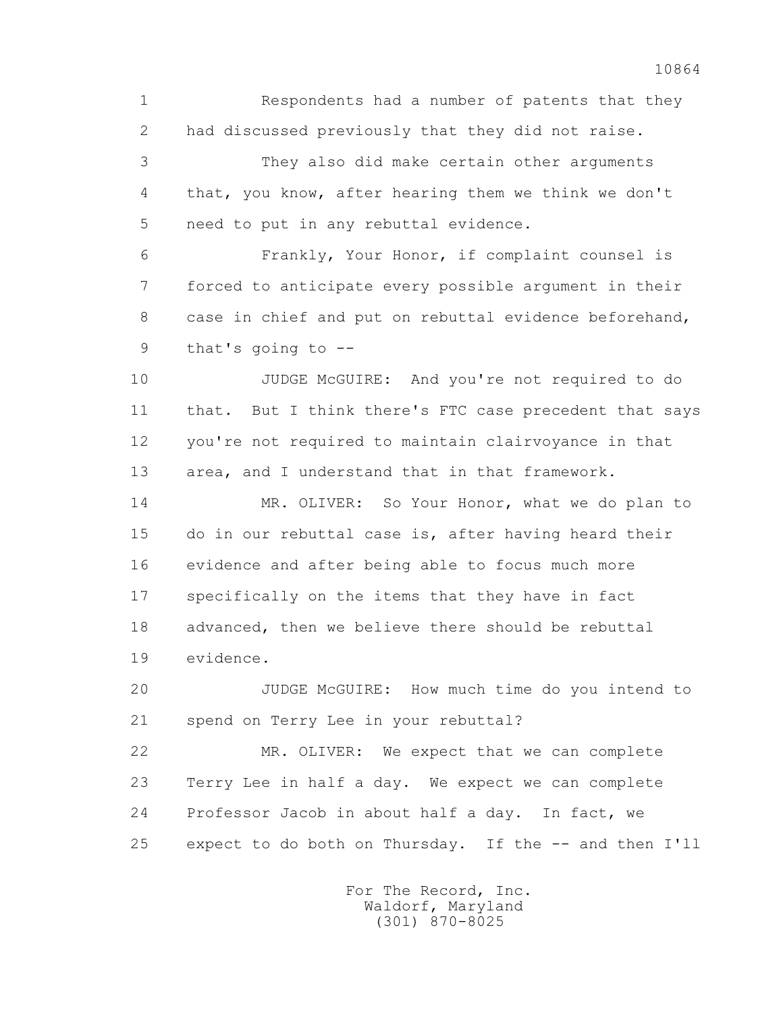1 Respondents had a number of patents that they 2 had discussed previously that they did not raise.

 3 They also did make certain other arguments 4 that, you know, after hearing them we think we don't 5 need to put in any rebuttal evidence.

 6 Frankly, Your Honor, if complaint counsel is 7 forced to anticipate every possible argument in their 8 case in chief and put on rebuttal evidence beforehand, 9 that's going to --

 10 JUDGE McGUIRE: And you're not required to do 11 that. But I think there's FTC case precedent that says 12 you're not required to maintain clairvoyance in that 13 area, and I understand that in that framework.

 14 MR. OLIVER: So Your Honor, what we do plan to 15 do in our rebuttal case is, after having heard their 16 evidence and after being able to focus much more 17 specifically on the items that they have in fact 18 advanced, then we believe there should be rebuttal 19 evidence.

 20 JUDGE McGUIRE: How much time do you intend to 21 spend on Terry Lee in your rebuttal?

 22 MR. OLIVER: We expect that we can complete 23 Terry Lee in half a day. We expect we can complete 24 Professor Jacob in about half a day. In fact, we 25 expect to do both on Thursday. If the -- and then I'll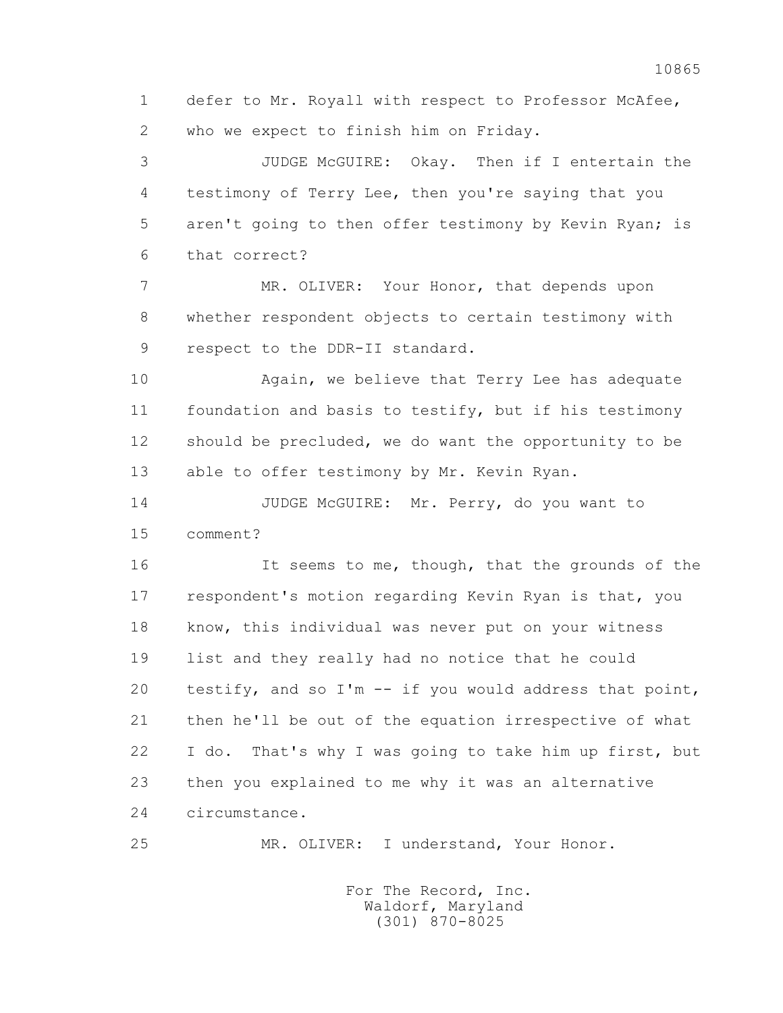1 defer to Mr. Royall with respect to Professor McAfee, 2 who we expect to finish him on Friday.

 3 JUDGE McGUIRE: Okay. Then if I entertain the 4 testimony of Terry Lee, then you're saying that you 5 aren't going to then offer testimony by Kevin Ryan; is 6 that correct?

 7 MR. OLIVER: Your Honor, that depends upon 8 whether respondent objects to certain testimony with 9 respect to the DDR-II standard.

 10 Again, we believe that Terry Lee has adequate 11 foundation and basis to testify, but if his testimony 12 should be precluded, we do want the opportunity to be 13 able to offer testimony by Mr. Kevin Ryan.

 14 JUDGE McGUIRE: Mr. Perry, do you want to 15 comment?

16 It seems to me, though, that the grounds of the 17 respondent's motion regarding Kevin Ryan is that, you 18 know, this individual was never put on your witness 19 list and they really had no notice that he could 20 testify, and so I'm -- if you would address that point, 21 then he'll be out of the equation irrespective of what 22 I do. That's why I was going to take him up first, but 23 then you explained to me why it was an alternative 24 circumstance.

10865

25 MR. OLIVER: I understand, Your Honor.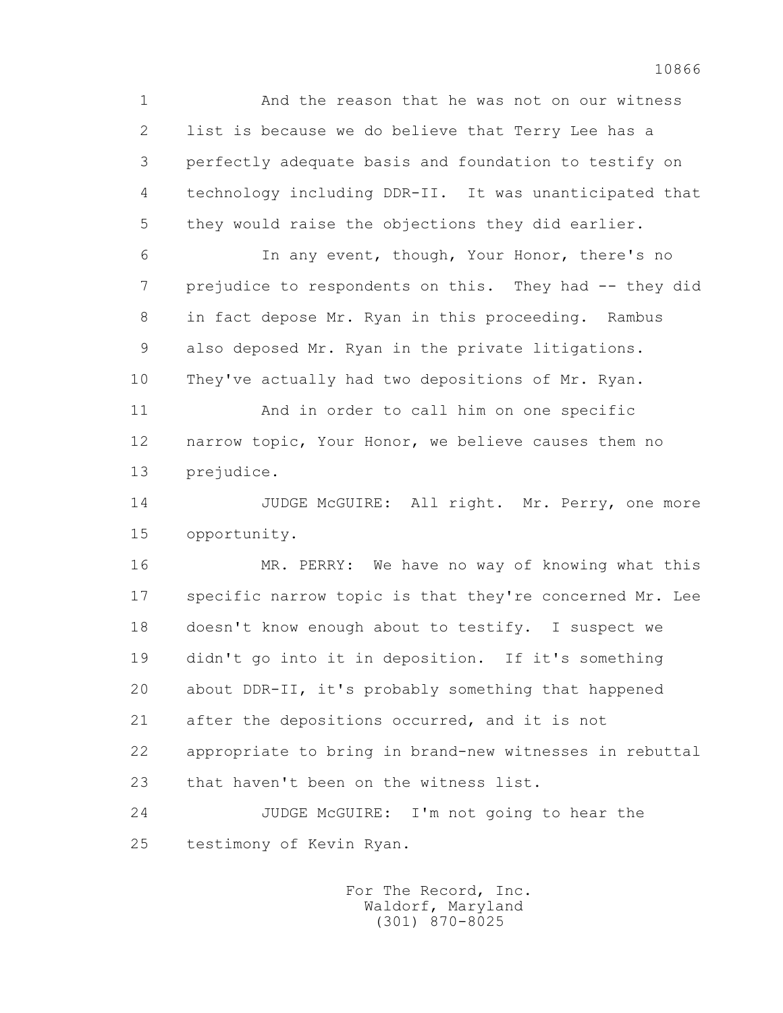1 And the reason that he was not on our witness 2 list is because we do believe that Terry Lee has a 3 perfectly adequate basis and foundation to testify on 4 technology including DDR-II. It was unanticipated that 5 they would raise the objections they did earlier.

 6 In any event, though, Your Honor, there's no 7 prejudice to respondents on this. They had -- they did 8 in fact depose Mr. Ryan in this proceeding. Rambus 9 also deposed Mr. Ryan in the private litigations. 10 They've actually had two depositions of Mr. Ryan.

 11 And in order to call him on one specific 12 narrow topic, Your Honor, we believe causes them no 13 prejudice.

14 JUDGE McGUIRE: All right. Mr. Perry, one more 15 opportunity.

 16 MR. PERRY: We have no way of knowing what this 17 specific narrow topic is that they're concerned Mr. Lee 18 doesn't know enough about to testify. I suspect we 19 didn't go into it in deposition. If it's something 20 about DDR-II, it's probably something that happened 21 after the depositions occurred, and it is not 22 appropriate to bring in brand-new witnesses in rebuttal 23 that haven't been on the witness list.

 24 JUDGE McGUIRE: I'm not going to hear the 25 testimony of Kevin Ryan.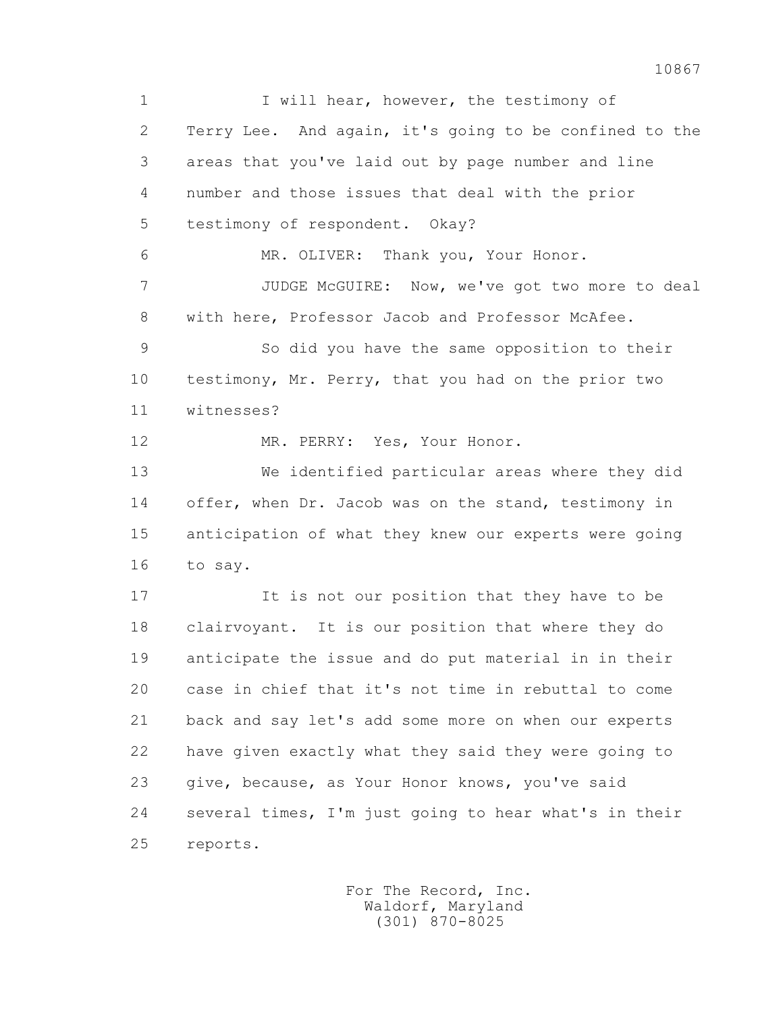1 I will hear, however, the testimony of 2 Terry Lee. And again, it's going to be confined to the 3 areas that you've laid out by page number and line 4 number and those issues that deal with the prior 5 testimony of respondent. Okay? 6 MR. OLIVER: Thank you, Your Honor. 7 JUDGE McGUIRE: Now, we've got two more to deal 8 with here, Professor Jacob and Professor McAfee. 9 So did you have the same opposition to their 10 testimony, Mr. Perry, that you had on the prior two 11 witnesses? 12 MR. PERRY: Yes, Your Honor. 13 We identified particular areas where they did 14 offer, when Dr. Jacob was on the stand, testimony in 15 anticipation of what they knew our experts were going 16 to say. 17 It is not our position that they have to be 18 clairvoyant. It is our position that where they do 19 anticipate the issue and do put material in in their 20 case in chief that it's not time in rebuttal to come 21 back and say let's add some more on when our experts 22 have given exactly what they said they were going to 23 give, because, as Your Honor knows, you've said 24 several times, I'm just going to hear what's in their 25 reports.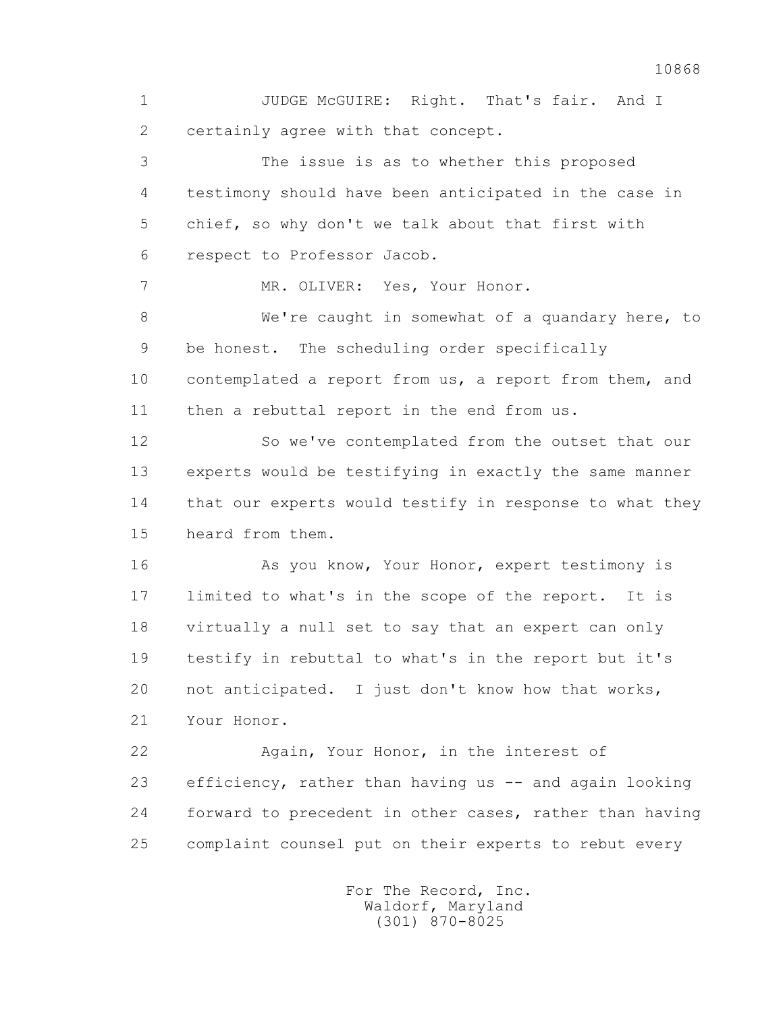1 JUDGE McGUIRE: Right. That's fair. And I 2 certainly agree with that concept.

 3 The issue is as to whether this proposed 4 testimony should have been anticipated in the case in 5 chief, so why don't we talk about that first with 6 respect to Professor Jacob.

7 MR. OLIVER: Yes, Your Honor.

 8 We're caught in somewhat of a quandary here, to 9 be honest. The scheduling order specifically 10 contemplated a report from us, a report from them, and 11 then a rebuttal report in the end from us.

 12 So we've contemplated from the outset that our 13 experts would be testifying in exactly the same manner 14 that our experts would testify in response to what they 15 heard from them.

 16 As you know, Your Honor, expert testimony is 17 limited to what's in the scope of the report. It is 18 virtually a null set to say that an expert can only 19 testify in rebuttal to what's in the report but it's 20 not anticipated. I just don't know how that works, 21 Your Honor.

 22 Again, Your Honor, in the interest of 23 efficiency, rather than having us -- and again looking 24 forward to precedent in other cases, rather than having 25 complaint counsel put on their experts to rebut every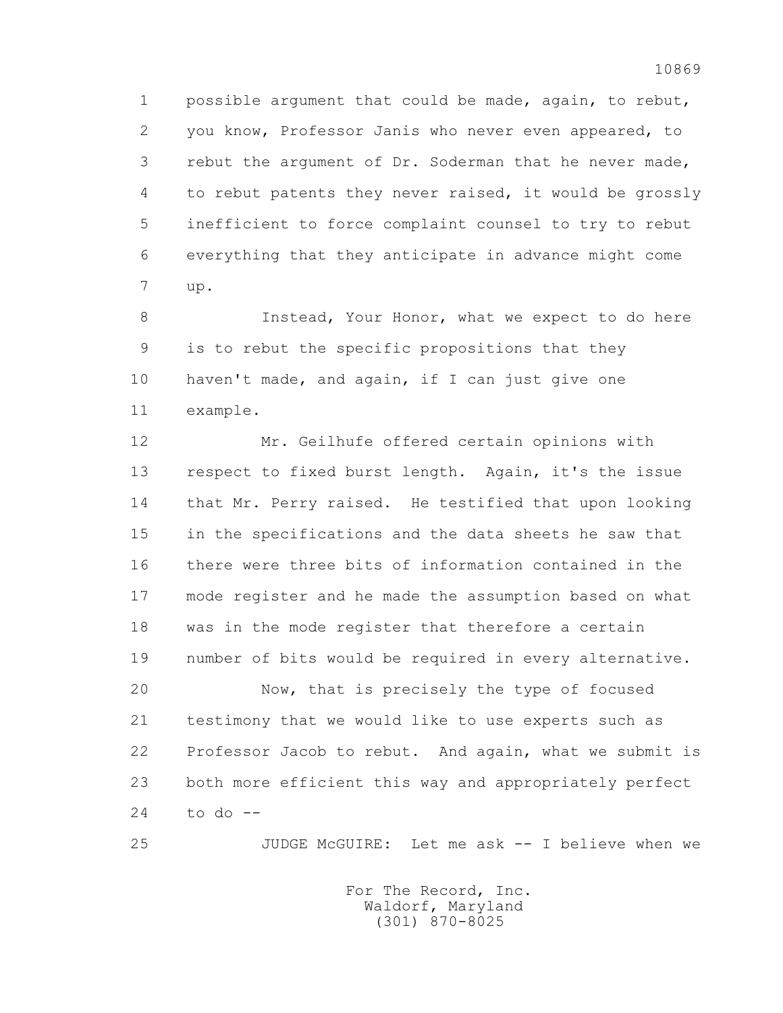1 possible argument that could be made, again, to rebut, 2 you know, Professor Janis who never even appeared, to 3 rebut the argument of Dr. Soderman that he never made, 4 to rebut patents they never raised, it would be grossly 5 inefficient to force complaint counsel to try to rebut 6 everything that they anticipate in advance might come 7 up.

 8 Instead, Your Honor, what we expect to do here 9 is to rebut the specific propositions that they 10 haven't made, and again, if I can just give one 11 example.

 12 Mr. Geilhufe offered certain opinions with 13 respect to fixed burst length. Again, it's the issue 14 that Mr. Perry raised. He testified that upon looking 15 in the specifications and the data sheets he saw that 16 there were three bits of information contained in the 17 mode register and he made the assumption based on what 18 was in the mode register that therefore a certain 19 number of bits would be required in every alternative.

 20 Now, that is precisely the type of focused 21 testimony that we would like to use experts such as 22 Professor Jacob to rebut. And again, what we submit is 23 both more efficient this way and appropriately perfect 24 to do  $-$ 

25 JUDGE McGUIRE: Let me ask -- I believe when we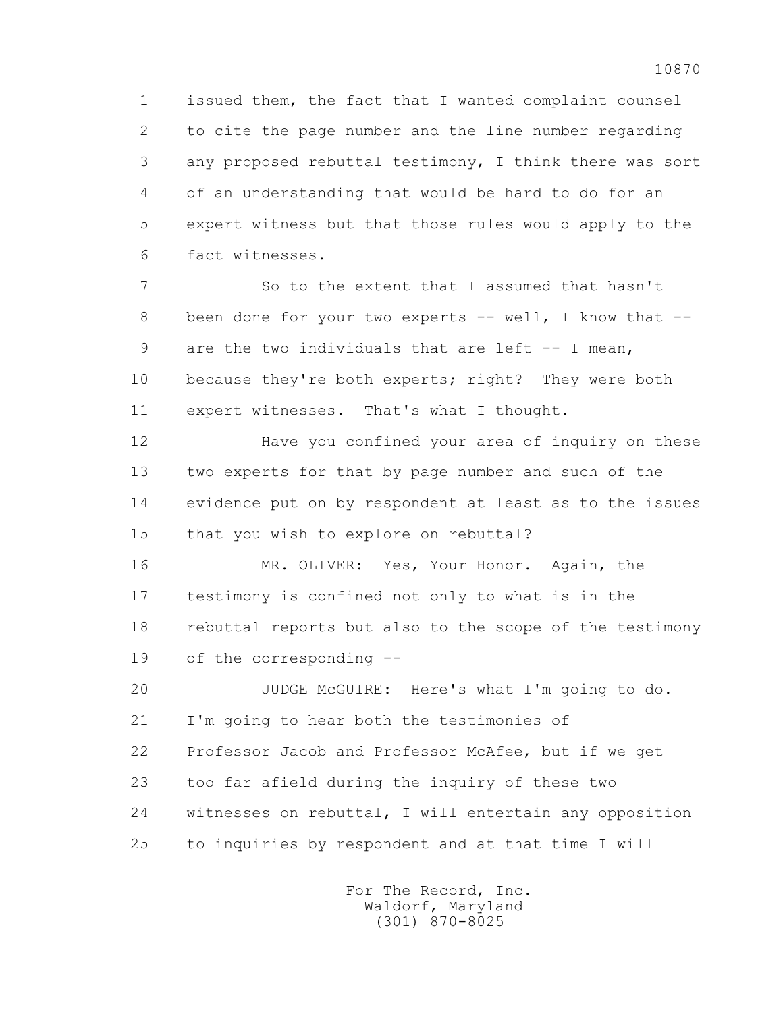1 issued them, the fact that I wanted complaint counsel 2 to cite the page number and the line number regarding 3 any proposed rebuttal testimony, I think there was sort 4 of an understanding that would be hard to do for an 5 expert witness but that those rules would apply to the 6 fact witnesses.

 7 So to the extent that I assumed that hasn't 8 been done for your two experts -- well, I know that -- 9 are the two individuals that are left -- I mean, 10 because they're both experts; right? They were both 11 expert witnesses. That's what I thought.

 12 Have you confined your area of inquiry on these 13 two experts for that by page number and such of the 14 evidence put on by respondent at least as to the issues 15 that you wish to explore on rebuttal?

 16 MR. OLIVER: Yes, Your Honor. Again, the 17 testimony is confined not only to what is in the 18 rebuttal reports but also to the scope of the testimony 19 of the corresponding --

 20 JUDGE McGUIRE: Here's what I'm going to do. 21 I'm going to hear both the testimonies of 22 Professor Jacob and Professor McAfee, but if we get 23 too far afield during the inquiry of these two 24 witnesses on rebuttal, I will entertain any opposition 25 to inquiries by respondent and at that time I will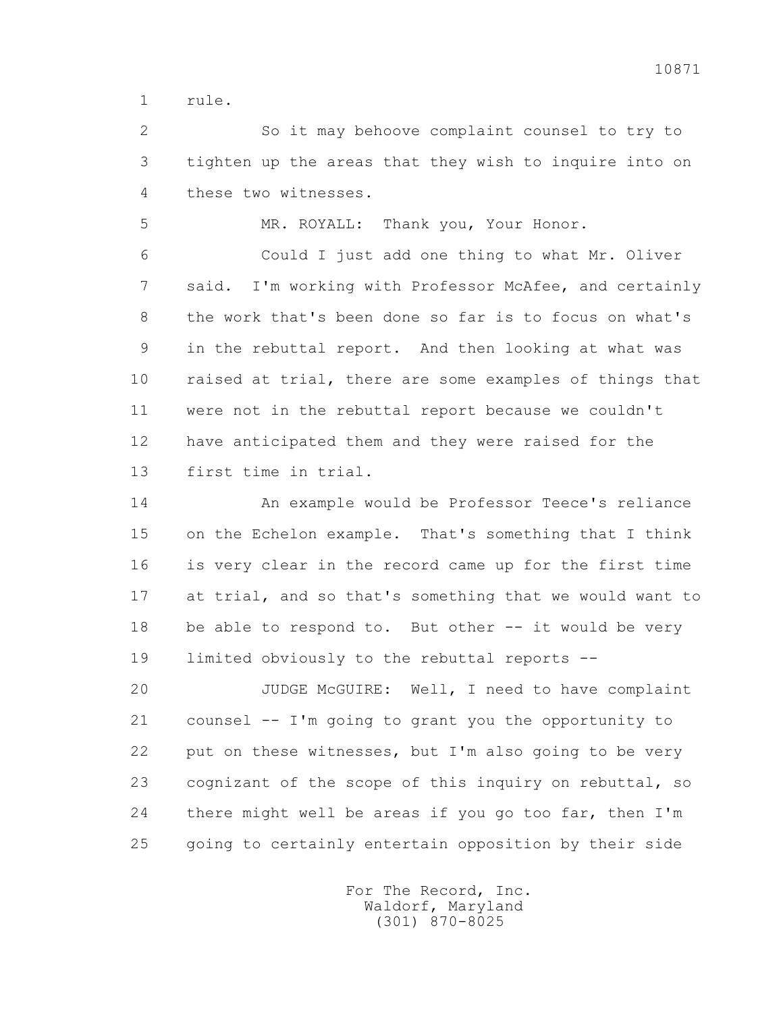1 rule.

 2 So it may behoove complaint counsel to try to 3 tighten up the areas that they wish to inquire into on 4 these two witnesses.

5 MR. ROYALL: Thank you, Your Honor.

 6 Could I just add one thing to what Mr. Oliver 7 said. I'm working with Professor McAfee, and certainly 8 the work that's been done so far is to focus on what's 9 in the rebuttal report. And then looking at what was 10 raised at trial, there are some examples of things that 11 were not in the rebuttal report because we couldn't 12 have anticipated them and they were raised for the 13 first time in trial.

 14 An example would be Professor Teece's reliance 15 on the Echelon example. That's something that I think 16 is very clear in the record came up for the first time 17 at trial, and so that's something that we would want to 18 be able to respond to. But other -- it would be very 19 limited obviously to the rebuttal reports --

 20 JUDGE McGUIRE: Well, I need to have complaint 21 counsel -- I'm going to grant you the opportunity to 22 put on these witnesses, but I'm also going to be very 23 cognizant of the scope of this inquiry on rebuttal, so 24 there might well be areas if you go too far, then I'm 25 going to certainly entertain opposition by their side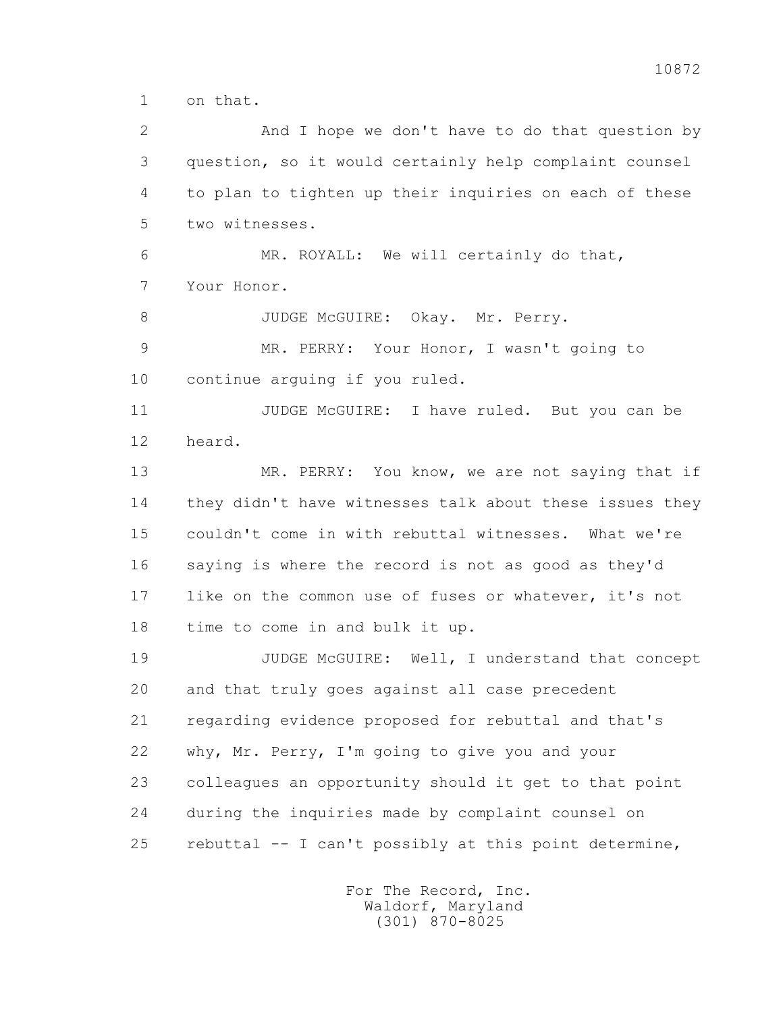1 on that.

 2 And I hope we don't have to do that question by 3 question, so it would certainly help complaint counsel 4 to plan to tighten up their inquiries on each of these 5 two witnesses. 6 MR. ROYALL: We will certainly do that, 7 Your Honor. 8 JUDGE McGUIRE: Okay. Mr. Perry. 9 MR. PERRY: Your Honor, I wasn't going to 10 continue arguing if you ruled. 11 JUDGE McGUIRE: I have ruled. But you can be 12 heard. 13 MR. PERRY: You know, we are not saying that if 14 they didn't have witnesses talk about these issues they 15 couldn't come in with rebuttal witnesses. What we're 16 saying is where the record is not as good as they'd 17 like on the common use of fuses or whatever, it's not 18 time to come in and bulk it up. 19 JUDGE McGUIRE: Well, I understand that concept 20 and that truly goes against all case precedent 21 regarding evidence proposed for rebuttal and that's 22 why, Mr. Perry, I'm going to give you and your 23 colleagues an opportunity should it get to that point 24 during the inquiries made by complaint counsel on 25 rebuttal -- I can't possibly at this point determine,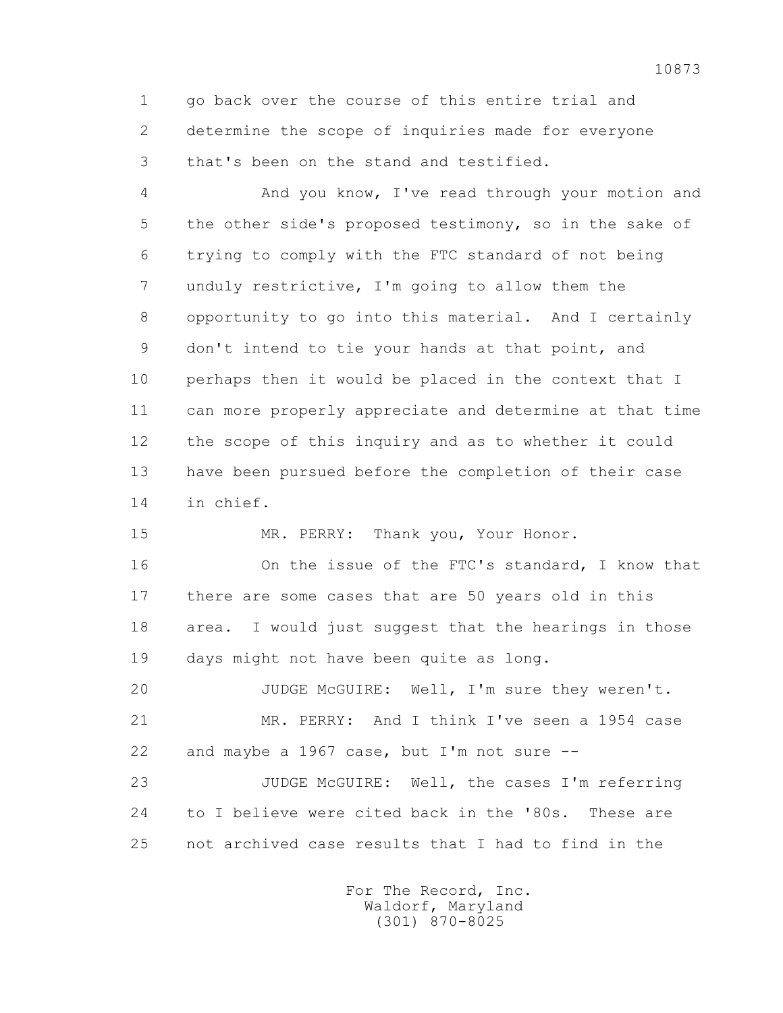1 go back over the course of this entire trial and 2 determine the scope of inquiries made for everyone 3 that's been on the stand and testified.

 4 And you know, I've read through your motion and 5 the other side's proposed testimony, so in the sake of 6 trying to comply with the FTC standard of not being 7 unduly restrictive, I'm going to allow them the 8 opportunity to go into this material. And I certainly 9 don't intend to tie your hands at that point, and 10 perhaps then it would be placed in the context that I 11 can more properly appreciate and determine at that time 12 the scope of this inquiry and as to whether it could 13 have been pursued before the completion of their case 14 in chief.

15 MR. PERRY: Thank you, Your Honor.

 16 On the issue of the FTC's standard, I know that 17 there are some cases that are 50 years old in this 18 area. I would just suggest that the hearings in those 19 days might not have been quite as long.

 20 JUDGE McGUIRE: Well, I'm sure they weren't. 21 MR. PERRY: And I think I've seen a 1954 case 22 and maybe a 1967 case, but I'm not sure --

 23 JUDGE McGUIRE: Well, the cases I'm referring 24 to I believe were cited back in the '80s. These are 25 not archived case results that I had to find in the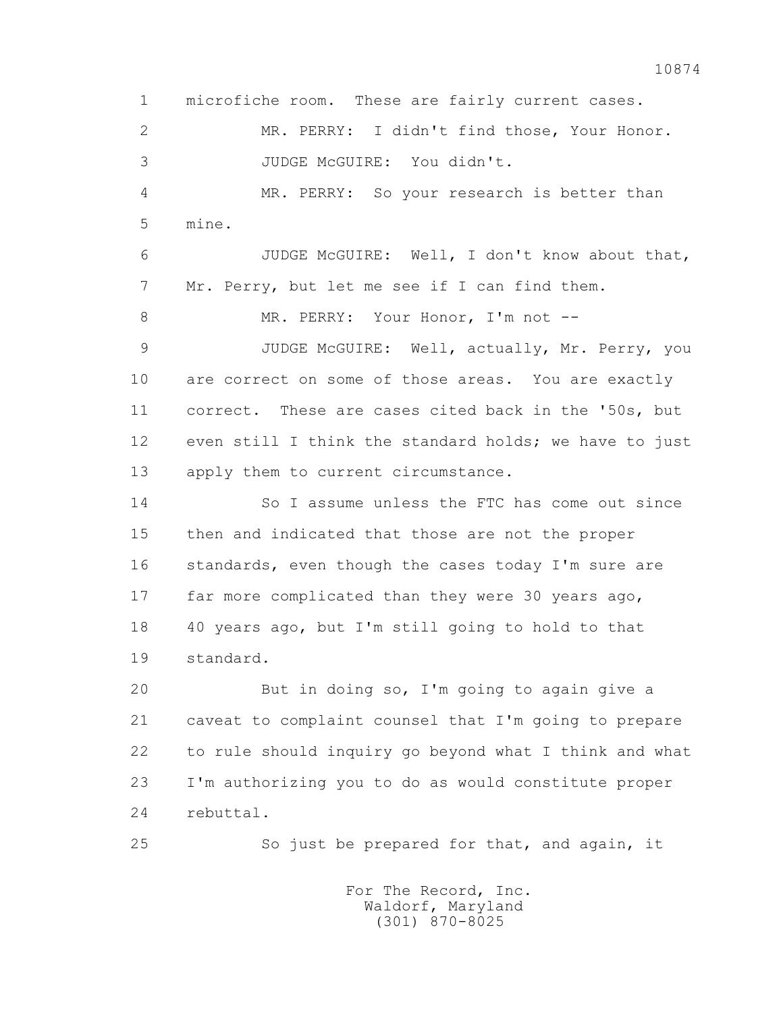1 microfiche room. These are fairly current cases. 2 MR. PERRY: I didn't find those, Your Honor. 3 JUDGE McGUIRE: You didn't. 4 MR. PERRY: So your research is better than 5 mine. 6 JUDGE McGUIRE: Well, I don't know about that, 7 Mr. Perry, but let me see if I can find them. 8 MR. PERRY: Your Honor, I'm not -- 9 JUDGE McGUIRE: Well, actually, Mr. Perry, you 10 are correct on some of those areas. You are exactly 11 correct. These are cases cited back in the '50s, but 12 even still I think the standard holds; we have to just 13 apply them to current circumstance. 14 So I assume unless the FTC has come out since 15 then and indicated that those are not the proper 16 standards, even though the cases today I'm sure are 17 far more complicated than they were 30 years ago, 18 40 years ago, but I'm still going to hold to that 19 standard. 20 But in doing so, I'm going to again give a 21 caveat to complaint counsel that I'm going to prepare 22 to rule should inquiry go beyond what I think and what 23 I'm authorizing you to do as would constitute proper 24 rebuttal.

25 So just be prepared for that, and again, it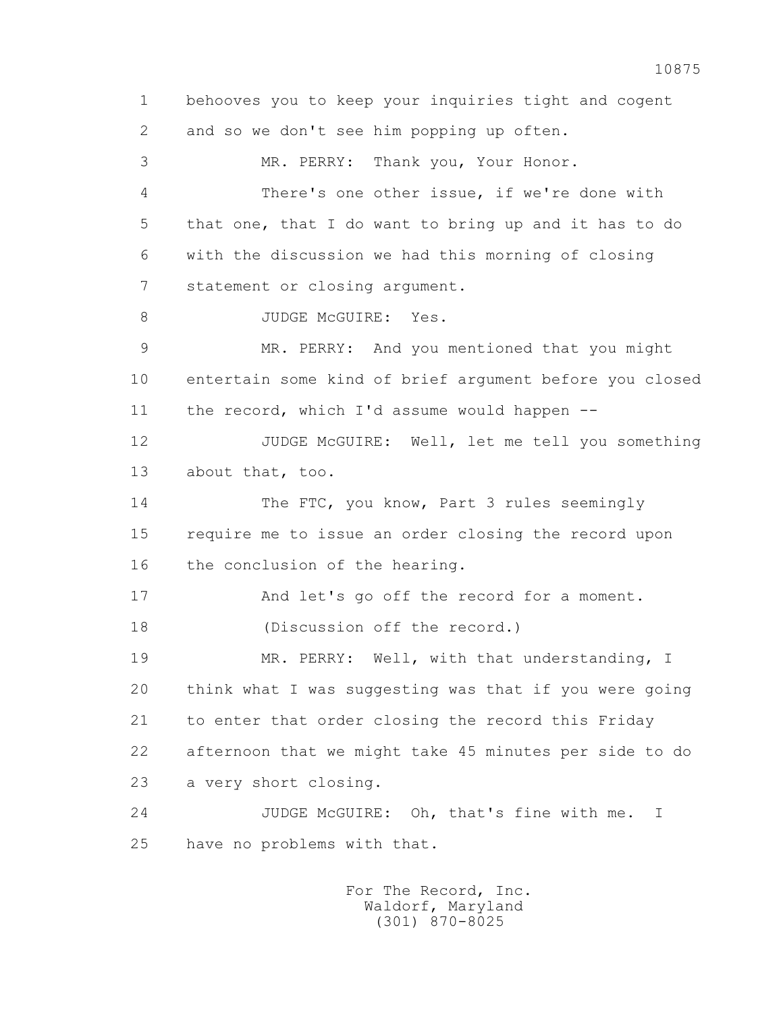1 behooves you to keep your inquiries tight and cogent 2 and so we don't see him popping up often. 3 MR. PERRY: Thank you, Your Honor. 4 There's one other issue, if we're done with 5 that one, that I do want to bring up and it has to do 6 with the discussion we had this morning of closing 7 statement or closing argument. 8 JUDGE McGUIRE: Yes. 9 MR. PERRY: And you mentioned that you might 10 entertain some kind of brief argument before you closed 11 the record, which I'd assume would happen -- 12 JUDGE McGUIRE: Well, let me tell you something 13 about that, too. 14 The FTC, you know, Part 3 rules seemingly 15 require me to issue an order closing the record upon 16 the conclusion of the hearing. 17 And let's go off the record for a moment. 18 (Discussion off the record.) 19 MR. PERRY: Well, with that understanding, I 20 think what I was suggesting was that if you were going 21 to enter that order closing the record this Friday 22 afternoon that we might take 45 minutes per side to do 23 a very short closing. 24 JUDGE McGUIRE: Oh, that's fine with me. I 25 have no problems with that.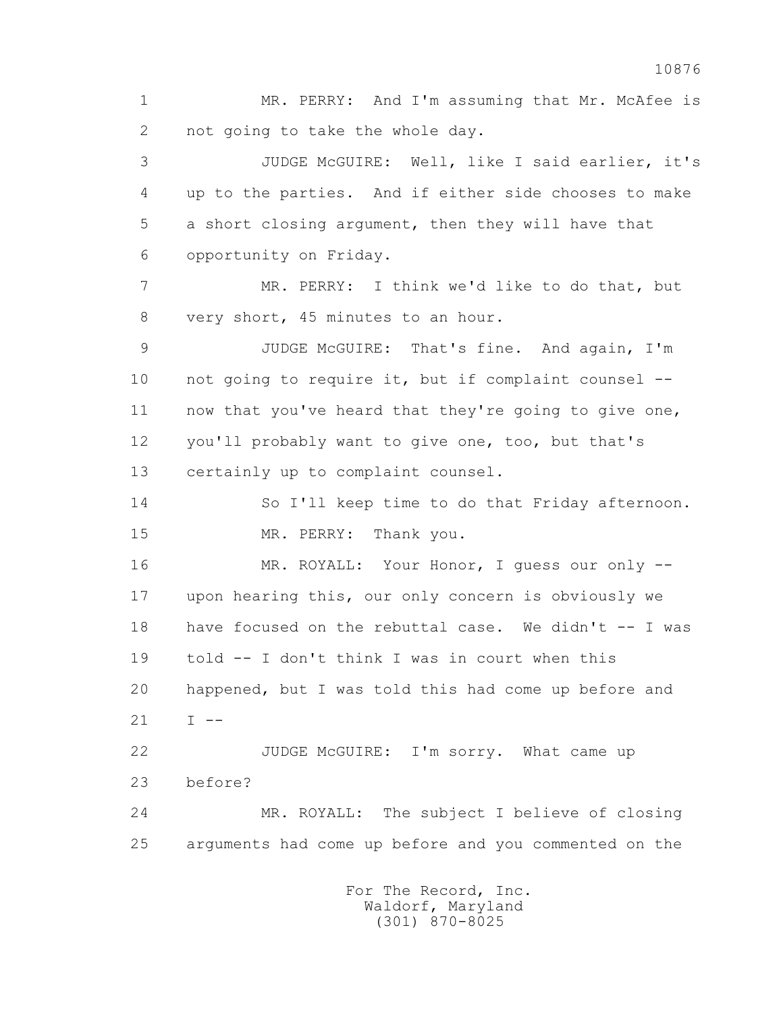1 MR. PERRY: And I'm assuming that Mr. McAfee is 2 not going to take the whole day.

 3 JUDGE McGUIRE: Well, like I said earlier, it's 4 up to the parties. And if either side chooses to make 5 a short closing argument, then they will have that 6 opportunity on Friday.

 7 MR. PERRY: I think we'd like to do that, but 8 very short, 45 minutes to an hour.

 9 JUDGE McGUIRE: That's fine. And again, I'm 10 not going to require it, but if complaint counsel -- 11 now that you've heard that they're going to give one, 12 you'll probably want to give one, too, but that's 13 certainly up to complaint counsel.

 14 So I'll keep time to do that Friday afternoon. 15 MR. PERRY: Thank you.

 16 MR. ROYALL: Your Honor, I guess our only -- 17 upon hearing this, our only concern is obviously we 18 have focused on the rebuttal case. We didn't -- I was 19 told -- I don't think I was in court when this 20 happened, but I was told this had come up before and  $21 \tI = -$ 

 22 JUDGE McGUIRE: I'm sorry. What came up 23 before?

 24 MR. ROYALL: The subject I believe of closing 25 arguments had come up before and you commented on the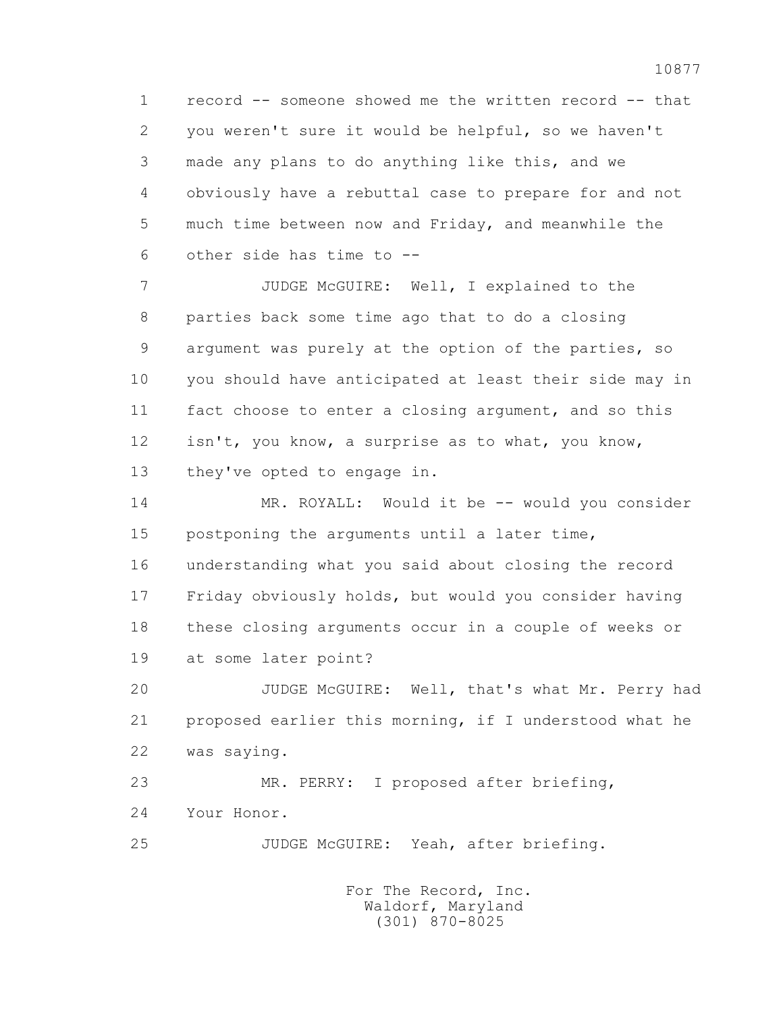1 record -- someone showed me the written record -- that 2 you weren't sure it would be helpful, so we haven't 3 made any plans to do anything like this, and we 4 obviously have a rebuttal case to prepare for and not 5 much time between now and Friday, and meanwhile the 6 other side has time to --

 7 JUDGE McGUIRE: Well, I explained to the 8 parties back some time ago that to do a closing 9 argument was purely at the option of the parties, so 10 you should have anticipated at least their side may in 11 fact choose to enter a closing argument, and so this 12 isn't, you know, a surprise as to what, you know, 13 they've opted to engage in.

 14 MR. ROYALL: Would it be -- would you consider 15 postponing the arguments until a later time, 16 understanding what you said about closing the record 17 Friday obviously holds, but would you consider having 18 these closing arguments occur in a couple of weeks or 19 at some later point?

 20 JUDGE McGUIRE: Well, that's what Mr. Perry had 21 proposed earlier this morning, if I understood what he 22 was saying.

 23 MR. PERRY: I proposed after briefing, 24 Your Honor.

25 JUDGE McGUIRE: Yeah, after briefing.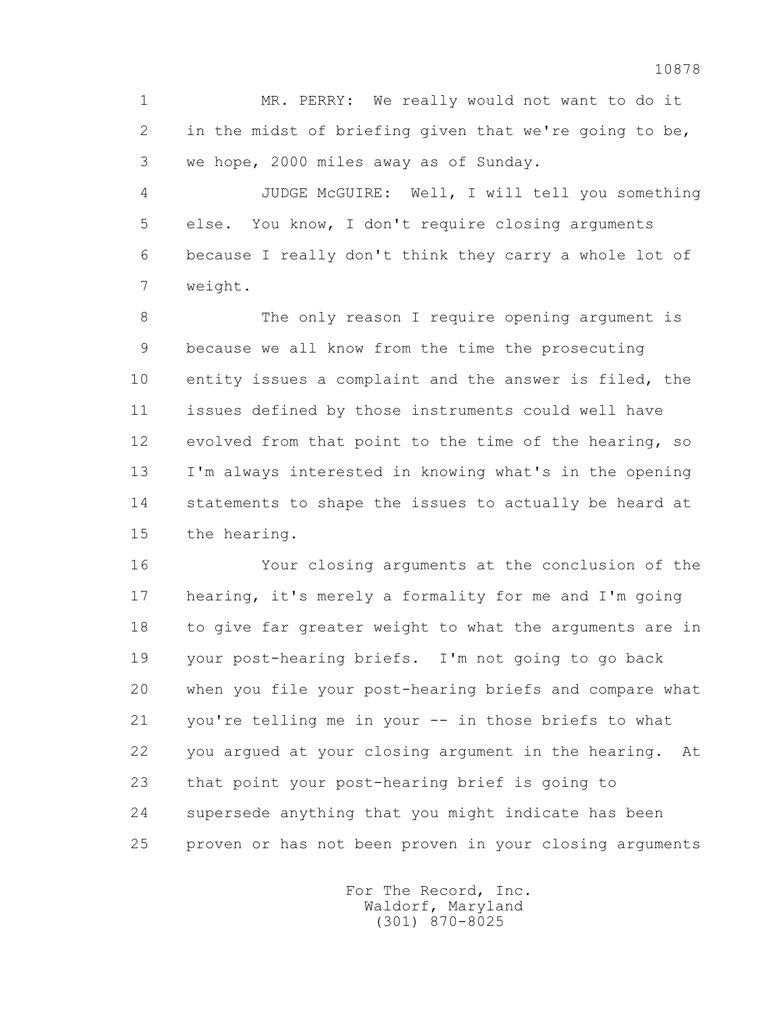1 MR. PERRY: We really would not want to do it 2 in the midst of briefing given that we're going to be, 3 we hope, 2000 miles away as of Sunday.

 4 JUDGE McGUIRE: Well, I will tell you something 5 else. You know, I don't require closing arguments 6 because I really don't think they carry a whole lot of 7 weight.

 8 The only reason I require opening argument is 9 because we all know from the time the prosecuting 10 entity issues a complaint and the answer is filed, the 11 issues defined by those instruments could well have 12 evolved from that point to the time of the hearing, so 13 I'm always interested in knowing what's in the opening 14 statements to shape the issues to actually be heard at 15 the hearing.

 16 Your closing arguments at the conclusion of the 17 hearing, it's merely a formality for me and I'm going 18 to give far greater weight to what the arguments are in 19 your post-hearing briefs. I'm not going to go back 20 when you file your post-hearing briefs and compare what 21 you're telling me in your -- in those briefs to what 22 you argued at your closing argument in the hearing. At 23 that point your post-hearing brief is going to 24 supersede anything that you might indicate has been 25 proven or has not been proven in your closing arguments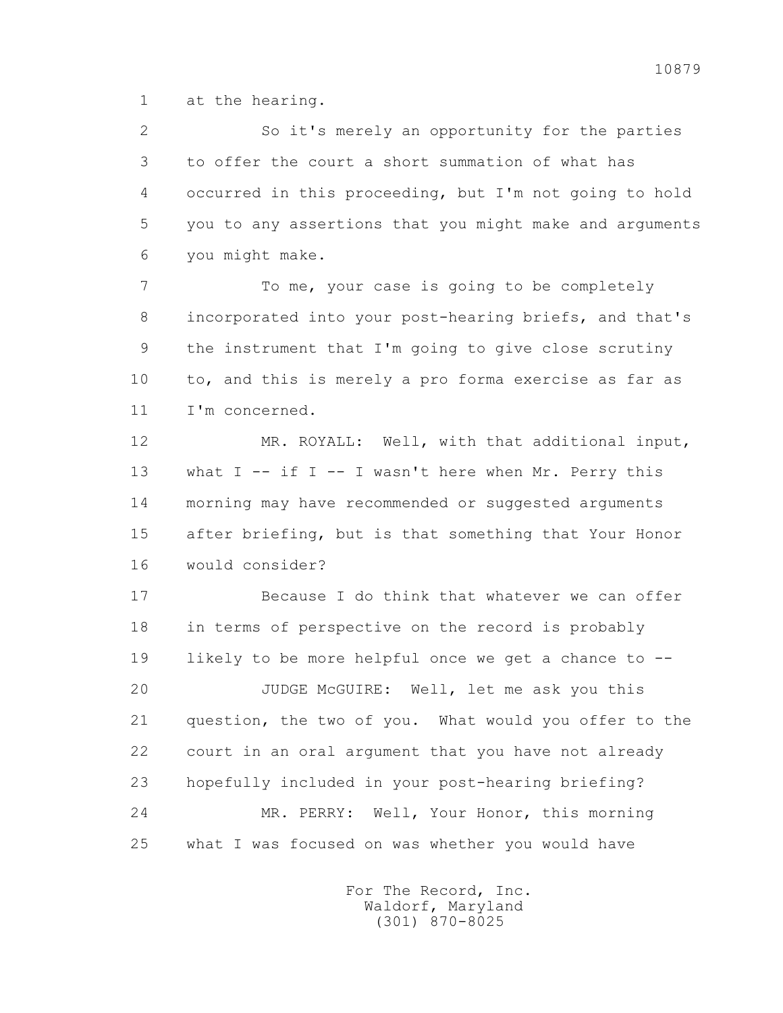1 at the hearing.

 2 So it's merely an opportunity for the parties 3 to offer the court a short summation of what has 4 occurred in this proceeding, but I'm not going to hold 5 you to any assertions that you might make and arguments 6 you might make.

 7 To me, your case is going to be completely 8 incorporated into your post-hearing briefs, and that's 9 the instrument that I'm going to give close scrutiny 10 to, and this is merely a pro forma exercise as far as 11 I'm concerned.

 12 MR. ROYALL: Well, with that additional input, 13 what I -- if I -- I wasn't here when Mr. Perry this 14 morning may have recommended or suggested arguments 15 after briefing, but is that something that Your Honor 16 would consider?

 17 Because I do think that whatever we can offer 18 in terms of perspective on the record is probably 19 likely to be more helpful once we get a chance to -- 20 JUDGE McGUIRE: Well, let me ask you this 21 question, the two of you. What would you offer to the 22 court in an oral argument that you have not already 23 hopefully included in your post-hearing briefing? 24 MR. PERRY: Well, Your Honor, this morning 25 what I was focused on was whether you would have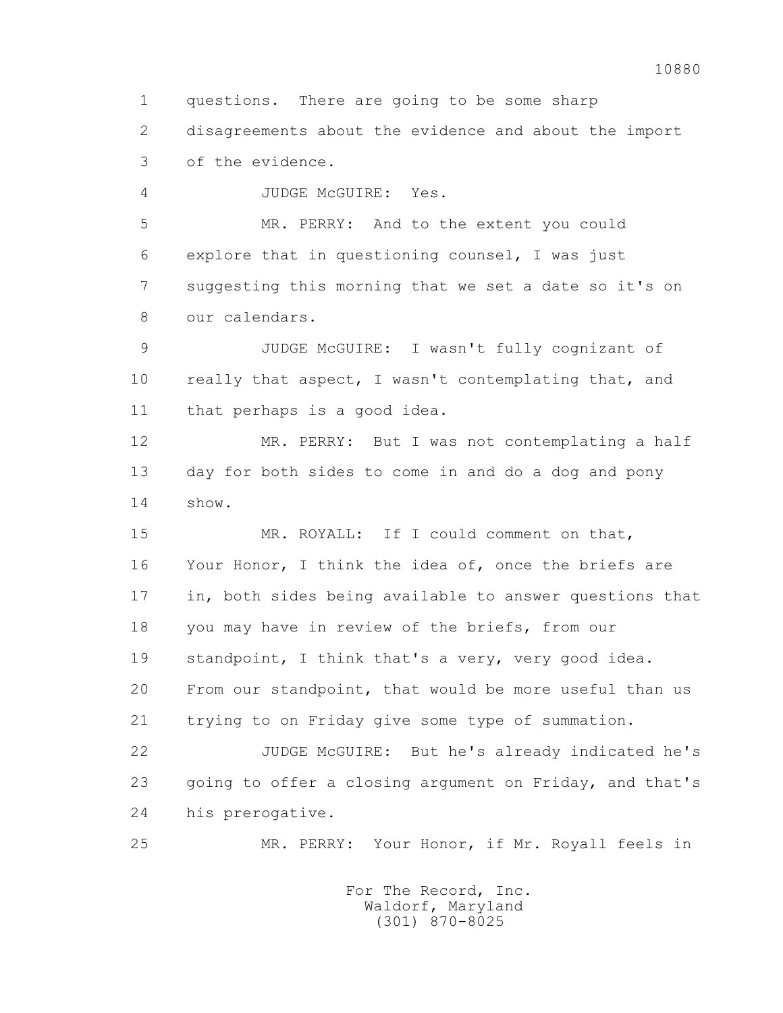1 questions. There are going to be some sharp

 2 disagreements about the evidence and about the import 3 of the evidence.

4 JUDGE McGUIRE: Yes.

 5 MR. PERRY: And to the extent you could 6 explore that in questioning counsel, I was just 7 suggesting this morning that we set a date so it's on 8 our calendars.

 9 JUDGE McGUIRE: I wasn't fully cognizant of 10 really that aspect, I wasn't contemplating that, and 11 that perhaps is a good idea.

 12 MR. PERRY: But I was not contemplating a half 13 day for both sides to come in and do a dog and pony 14 show.

 15 MR. ROYALL: If I could comment on that, 16 Your Honor, I think the idea of, once the briefs are 17 in, both sides being available to answer questions that 18 you may have in review of the briefs, from our 19 standpoint, I think that's a very, very good idea. 20 From our standpoint, that would be more useful than us 21 trying to on Friday give some type of summation.

 22 JUDGE McGUIRE: But he's already indicated he's 23 going to offer a closing argument on Friday, and that's 24 his prerogative.

25 MR. PERRY: Your Honor, if Mr. Royall feels in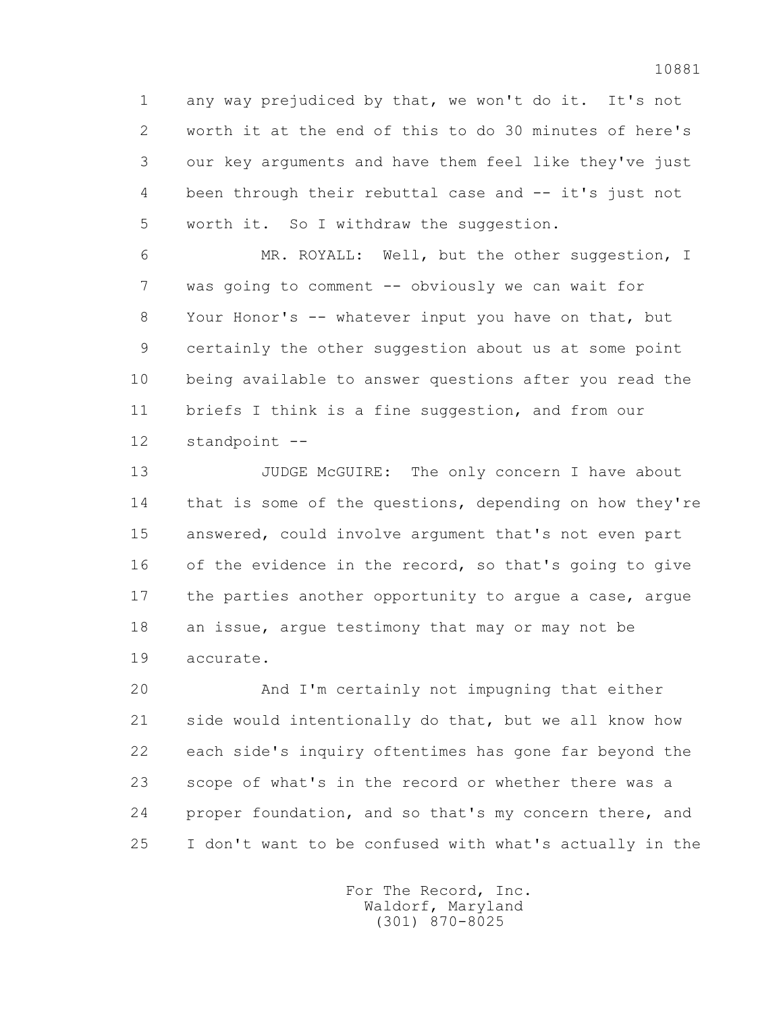1 any way prejudiced by that, we won't do it. It's not 2 worth it at the end of this to do 30 minutes of here's 3 our key arguments and have them feel like they've just 4 been through their rebuttal case and -- it's just not 5 worth it. So I withdraw the suggestion.

 6 MR. ROYALL: Well, but the other suggestion, I 7 was going to comment -- obviously we can wait for 8 Your Honor's -- whatever input you have on that, but 9 certainly the other suggestion about us at some point 10 being available to answer questions after you read the 11 briefs I think is a fine suggestion, and from our 12 standpoint --

13 JUDGE McGUIRE: The only concern I have about 14 that is some of the questions, depending on how they're 15 answered, could involve argument that's not even part 16 of the evidence in the record, so that's going to give 17 the parties another opportunity to argue a case, argue 18 an issue, argue testimony that may or may not be 19 accurate.

 20 And I'm certainly not impugning that either 21 side would intentionally do that, but we all know how 22 each side's inquiry oftentimes has gone far beyond the 23 scope of what's in the record or whether there was a 24 proper foundation, and so that's my concern there, and 25 I don't want to be confused with what's actually in the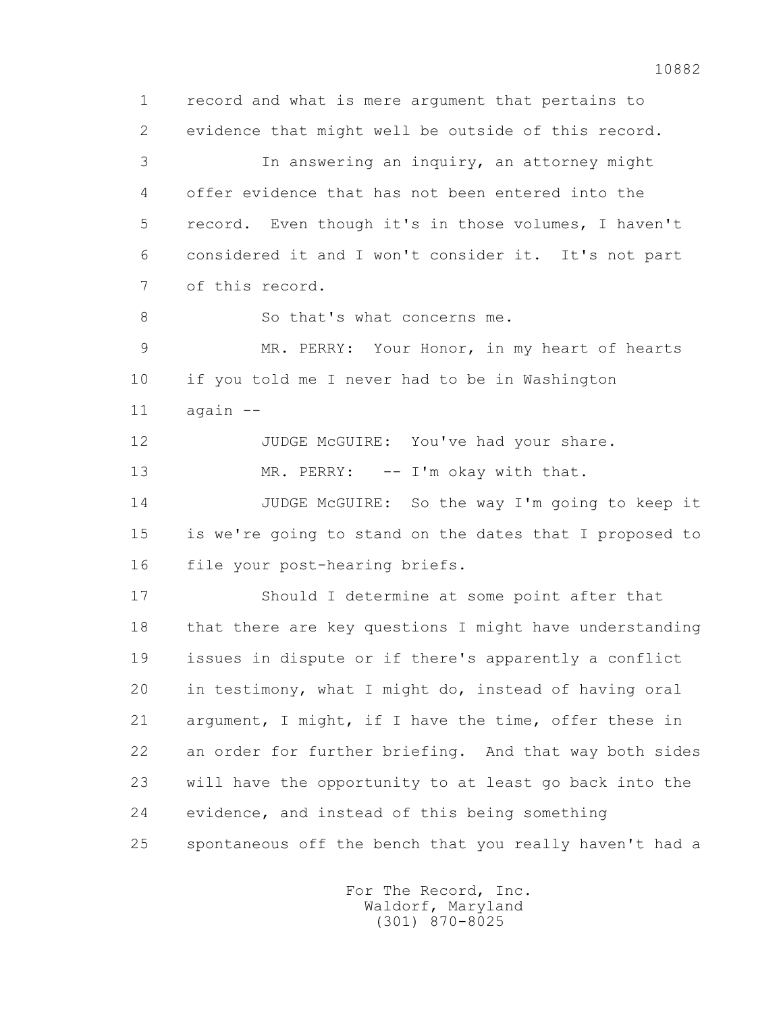1 record and what is mere argument that pertains to 2 evidence that might well be outside of this record. 3 In answering an inquiry, an attorney might 4 offer evidence that has not been entered into the 5 record. Even though it's in those volumes, I haven't 6 considered it and I won't consider it. It's not part 7 of this record. 8 So that's what concerns me. 9 MR. PERRY: Your Honor, in my heart of hearts 10 if you told me I never had to be in Washington 11 again -- 12 JUDGE McGUIRE: You've had your share. 13 MR. PERRY: -- I'm okay with that. 14 JUDGE McGUIRE: So the way I'm going to keep it 15 is we're going to stand on the dates that I proposed to 16 file your post-hearing briefs. 17 Should I determine at some point after that 18 that there are key questions I might have understanding 19 issues in dispute or if there's apparently a conflict

 20 in testimony, what I might do, instead of having oral 21 argument, I might, if I have the time, offer these in 22 an order for further briefing. And that way both sides 23 will have the opportunity to at least go back into the 24 evidence, and instead of this being something 25 spontaneous off the bench that you really haven't had a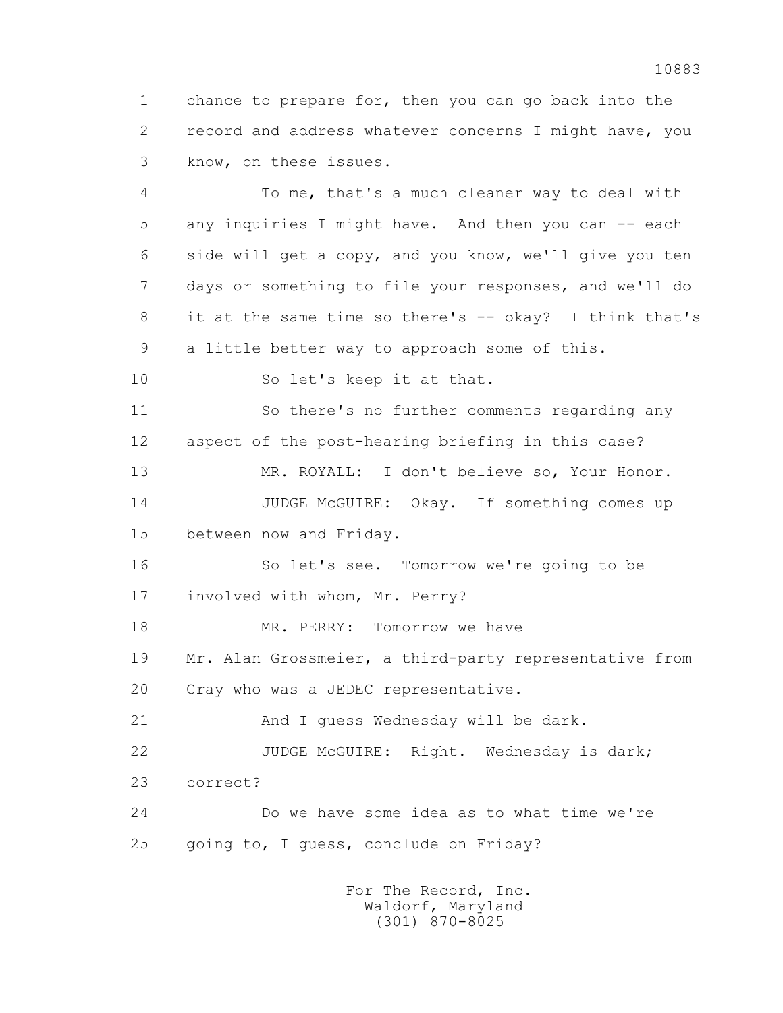1 chance to prepare for, then you can go back into the 2 record and address whatever concerns I might have, you 3 know, on these issues.

 4 To me, that's a much cleaner way to deal with 5 any inquiries I might have. And then you can -- each 6 side will get a copy, and you know, we'll give you ten 7 days or something to file your responses, and we'll do 8 it at the same time so there's -- okay? I think that's 9 a little better way to approach some of this.

10 So let's keep it at that.

 11 So there's no further comments regarding any 12 aspect of the post-hearing briefing in this case?

 13 MR. ROYALL: I don't believe so, Your Honor. 14 JUDGE McGUIRE: Okay. If something comes up 15 between now and Friday.

 16 So let's see. Tomorrow we're going to be 17 involved with whom, Mr. Perry?

18 MR. PERRY: Tomorrow we have

 19 Mr. Alan Grossmeier, a third-party representative from 20 Cray who was a JEDEC representative.

21 And I quess Wednesday will be dark.

 22 JUDGE McGUIRE: Right. Wednesday is dark; 23 correct?

 24 Do we have some idea as to what time we're 25 going to, I guess, conclude on Friday?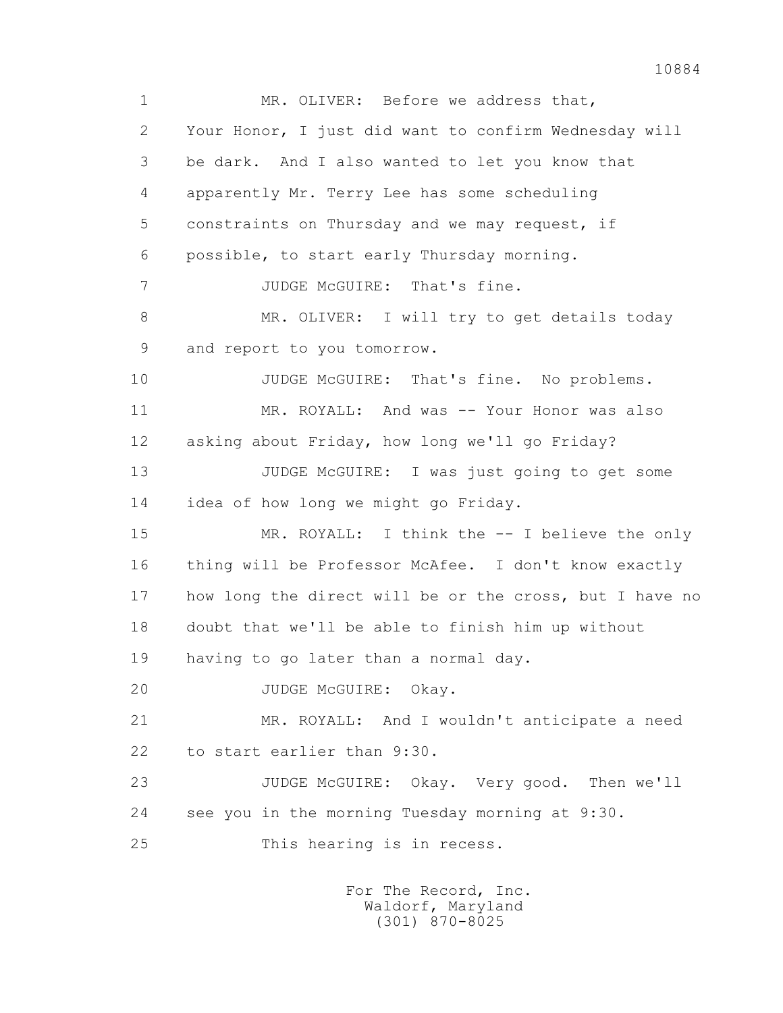1 MR. OLIVER: Before we address that, 2 Your Honor, I just did want to confirm Wednesday will 3 be dark. And I also wanted to let you know that 4 apparently Mr. Terry Lee has some scheduling 5 constraints on Thursday and we may request, if 6 possible, to start early Thursday morning. 7 JUDGE McGUIRE: That's fine. 8 MR. OLIVER: I will try to get details today 9 and report to you tomorrow. 10 JUDGE McGUIRE: That's fine. No problems. 11 MR. ROYALL: And was -- Your Honor was also 12 asking about Friday, how long we'll go Friday? 13 JUDGE McGUIRE: I was just going to get some 14 idea of how long we might go Friday. 15 MR. ROYALL: I think the -- I believe the only 16 thing will be Professor McAfee. I don't know exactly 17 how long the direct will be or the cross, but I have no 18 doubt that we'll be able to finish him up without 19 having to go later than a normal day. 20 JUDGE McGUIRE: Okay. 21 MR. ROYALL: And I wouldn't anticipate a need 22 to start earlier than 9:30. 23 JUDGE McGUIRE: Okay. Very good. Then we'll 24 see you in the morning Tuesday morning at 9:30. 25 This hearing is in recess.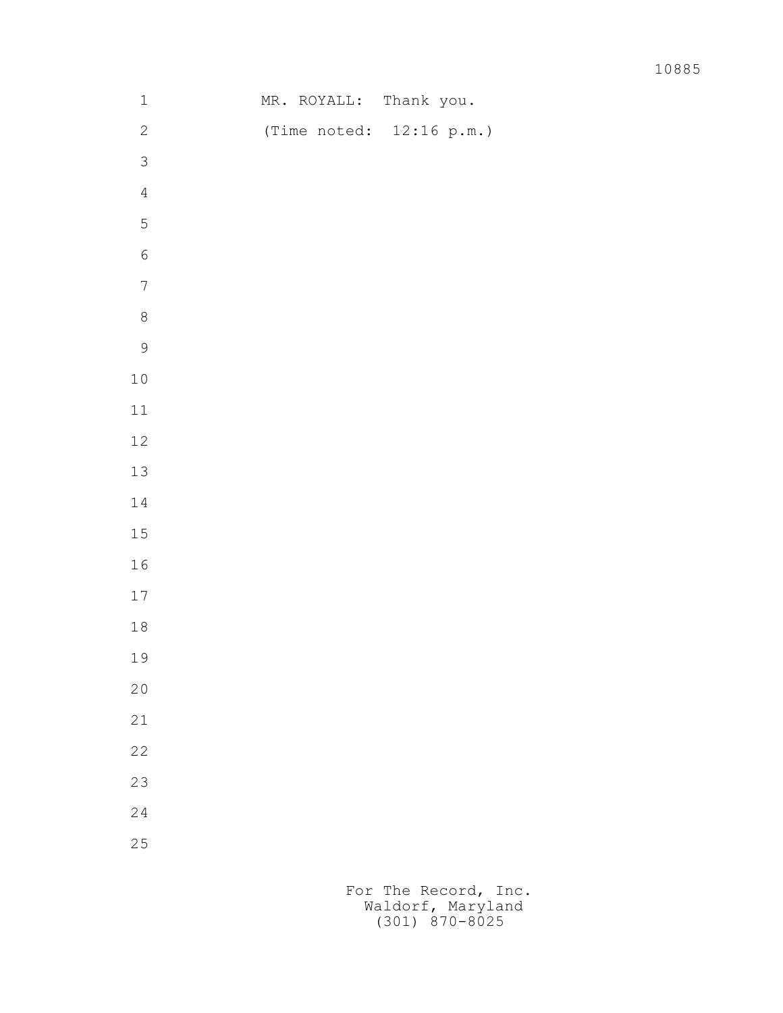| $\mathbf 1$      |  | MR. ROYALL:                 | Thank you. |  |
|------------------|--|-----------------------------|------------|--|
| $\sqrt{2}$       |  | (Time noted: $12:16 p.m.$ ) |            |  |
| $\mathfrak{Z}$   |  |                             |            |  |
| $\sqrt{4}$       |  |                             |            |  |
| $\overline{5}$   |  |                             |            |  |
| $\sqrt{6}$       |  |                             |            |  |
| $\boldsymbol{7}$ |  |                             |            |  |
| $\,8\,$          |  |                             |            |  |
| $\mathcal{G}$    |  |                             |            |  |
| $1\,0$           |  |                             |            |  |
| $11\,$           |  |                             |            |  |
| 12               |  |                             |            |  |
| $13\,$           |  |                             |            |  |
| $1\,4$           |  |                             |            |  |
| 15               |  |                             |            |  |
| $16\,$           |  |                             |            |  |
| $17\,$           |  |                             |            |  |
| $1\,8$           |  |                             |            |  |
| 19               |  |                             |            |  |
| $20$             |  |                             |            |  |
| 21               |  |                             |            |  |
| 22               |  |                             |            |  |
| 23               |  |                             |            |  |
| 24               |  |                             |            |  |
| 25               |  |                             |            |  |
|                  |  |                             |            |  |